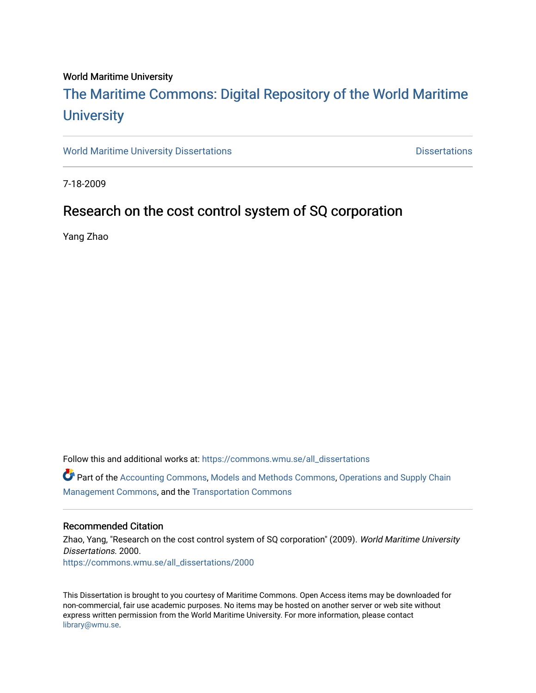#### World Maritime University

# [The Maritime Commons: Digital Repository of the World Maritime](https://commons.wmu.se/)  **University**

[World Maritime University Dissertations](https://commons.wmu.se/all_dissertations) **Maritime University Dissertations** Dissertations

7-18-2009

# Research on the cost control system of SQ corporation

Yang Zhao

Follow this and additional works at: [https://commons.wmu.se/all\\_dissertations](https://commons.wmu.se/all_dissertations?utm_source=commons.wmu.se%2Fall_dissertations%2F2000&utm_medium=PDF&utm_campaign=PDFCoverPages) 

Part of the [Accounting Commons](http://network.bepress.com/hgg/discipline/625?utm_source=commons.wmu.se%2Fall_dissertations%2F2000&utm_medium=PDF&utm_campaign=PDFCoverPages), [Models and Methods Commons](http://network.bepress.com/hgg/discipline/390?utm_source=commons.wmu.se%2Fall_dissertations%2F2000&utm_medium=PDF&utm_campaign=PDFCoverPages), [Operations and Supply Chain](http://network.bepress.com/hgg/discipline/1229?utm_source=commons.wmu.se%2Fall_dissertations%2F2000&utm_medium=PDF&utm_campaign=PDFCoverPages) [Management Commons](http://network.bepress.com/hgg/discipline/1229?utm_source=commons.wmu.se%2Fall_dissertations%2F2000&utm_medium=PDF&utm_campaign=PDFCoverPages), and the [Transportation Commons](http://network.bepress.com/hgg/discipline/1068?utm_source=commons.wmu.se%2Fall_dissertations%2F2000&utm_medium=PDF&utm_campaign=PDFCoverPages) 

#### Recommended Citation

Zhao, Yang, "Research on the cost control system of SQ corporation" (2009). World Maritime University Dissertations. 2000. [https://commons.wmu.se/all\\_dissertations/2000](https://commons.wmu.se/all_dissertations/2000?utm_source=commons.wmu.se%2Fall_dissertations%2F2000&utm_medium=PDF&utm_campaign=PDFCoverPages)

This Dissertation is brought to you courtesy of Maritime Commons. Open Access items may be downloaded for non-commercial, fair use academic purposes. No items may be hosted on another server or web site without express written permission from the World Maritime University. For more information, please contact [library@wmu.se](mailto:library@wmu.edu).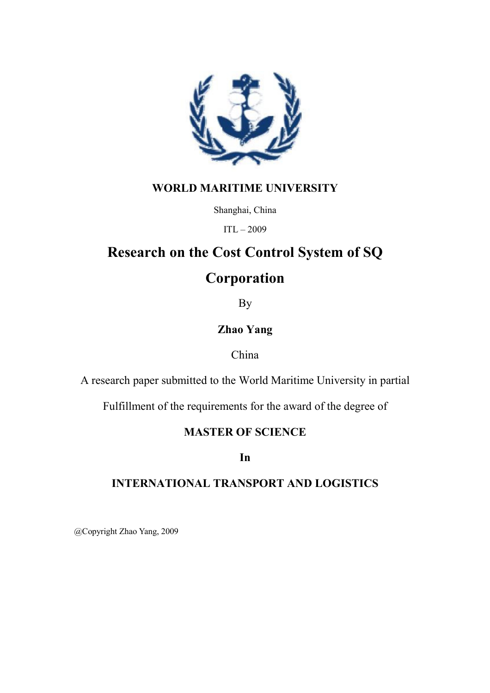

### WORLD MARITIME UNIVERSITY

Shanghai, China

ITL – 2009

# Research on the Cost Control System of SQ

# **Corporation**

By

### Zhao Yang

### China

A research paper submitted to the World Maritime University in partial

Fulfillment of the requirements for the award of the degree of

## MASTER OF SCIENCE

In

## INTERNATIONAL TRANSPORT AND LOGISTICS

@Copyright Zhao Yang, 2009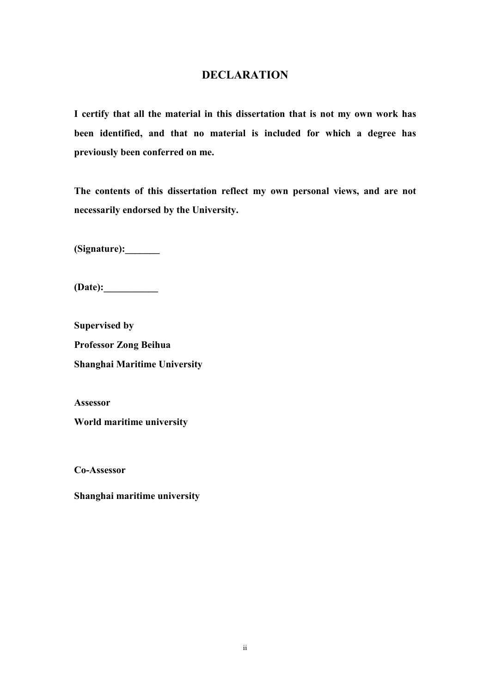### **DECLARATION**

I certify that all the material in this dissertation that is not my own work has been identified, and that no material is included for which a degree has previously been conferred on me.

The contents of this dissertation reflect my own personal views, and are not necessarily endorsed by the University.

(Signature):\_\_\_\_\_\_\_

 $(Date):$ 

Supervised by Professor Zong Beihua Shanghai Maritime University

Assessor

World maritime university

Co-Assessor

Shanghai maritime university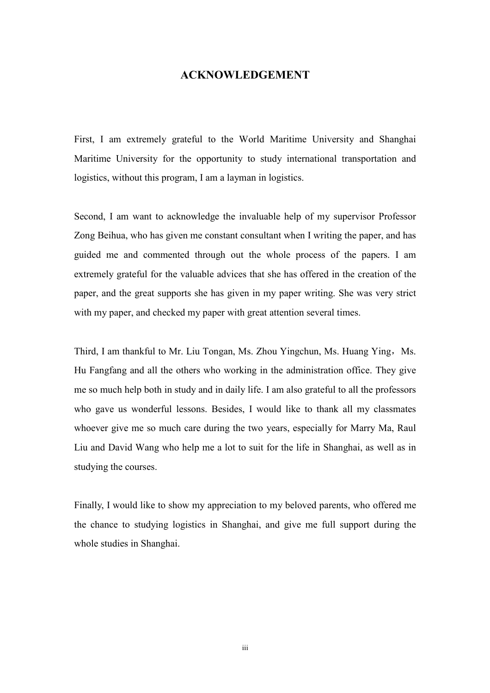#### **ACKNOWLEDGEMENT**

First, I am extremely grateful to the World Maritime University and Shanghai Maritime University for the opportunity to study international transportation and logistics, without this program, I am a layman in logistics.

Second, I am want to acknowledge the invaluable help of my supervisor Professor Zong Beihua, who has given me constant consultant when I writing the paper, and has guided me and commented through out the whole process of the papers. I am extremely grateful for the valuable advices that she has offered in the creation of the paper, and the great supports she has given in my paper writing. She was very strict with my paper, and checked my paper with great attention several times.

Third, I am thankful to Mr. Liu Tongan, Ms. Zhou Yingchun, Ms. Huang Ying, Ms. Hu Fangfang and all the others who working in the administration office. They give me so much help both in study and in daily life. I am also grateful to all the professors who gave us wonderful lessons. Besides, I would like to thank all my classmates whoever give me so much care during the two years, especially for Marry Ma, Raul Liu and David Wang who help me a lot to suit for the life in Shanghai, as well as in studying the courses.

Finally, I would like to show my appreciation to my beloved parents, who offered me the chance to studying logistics in Shanghai, and give me full support during the whole studies in Shanghai.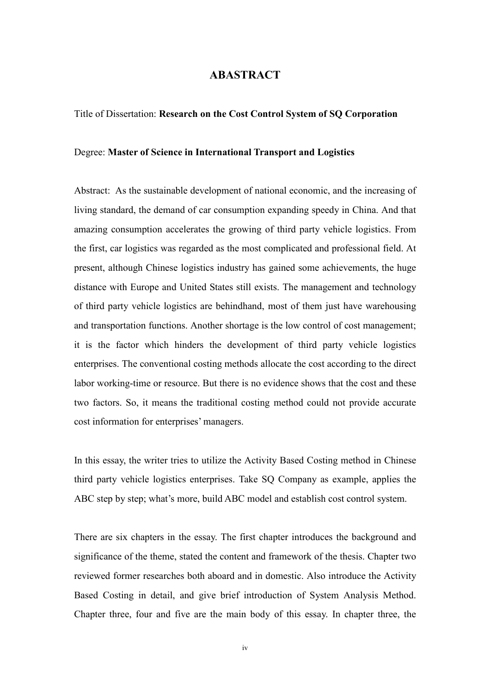#### ABASTRACT

#### Title of Dissertation: Research on the Cost Control System of SQ Corporation

#### Degree: Master of Science in International Transport and Logistics

Abstract: As the sustainable development of national economic, and the increasing of living standard, the demand of car consumption expanding speedy in China. And that amazing consumption accelerates the growing of third party vehicle logistics. From the first, car logistics was regarded as the most complicated and professional field. At present, although Chinese logistics industry has gained some achievements, the huge distance with Europe and United States still exists. The management and technology of third party vehicle logistics are behindhand, most of them just have warehousing and transportation functions. Another shortage is the low control of cost management; it is the factor which hinders the development of third party vehicle logistics enterprises. The conventional costing methods allocate the cost according to the direct labor working-time or resource. But there is no evidence shows that the cost and these two factors. So, it means the traditional costing method could not provide accurate cost information for enterprises' managers.

In this essay, the writer tries to utilize the Activity Based Costing method in Chinese third party vehicle logistics enterprises. Take SQ Company as example, applies the ABC step by step; what's more, build ABC model and establish cost control system.

There are six chapters in the essay. The first chapter introduces the background and significance of the theme, stated the content and framework of the thesis. Chapter two reviewed former researches both aboard and in domestic. Also introduce the Activity Based Costing in detail, and give brief introduction of System Analysis Method. Chapter three, four and five are the main body of this essay. In chapter three, the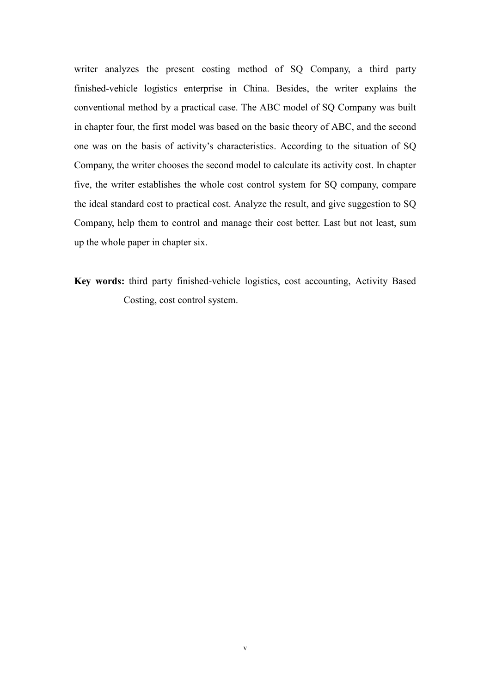writer analyzes the present costing method of SQ Company, a third party finished-vehicle logistics enterprise in China. Besides, the writer explains the conventional method by a practical case. The ABC model of SQ Company was built in chapter four, the first model was based on the basic theory of ABC, and the second one was on the basis of activity's characteristics. According to the situation of SQ Company, the writer chooses the second model to calculate its activity cost. In chapter five, the writer establishes the whole cost control system for SQ company, compare the ideal standard cost to practical cost. Analyze the result, and give suggestion to SQ Company, help them to control and manage their cost better. Last but not least, sum up the whole paper in chapter six.

Key words: third party finished-vehicle logistics, cost accounting, Activity Based Costing, cost control system.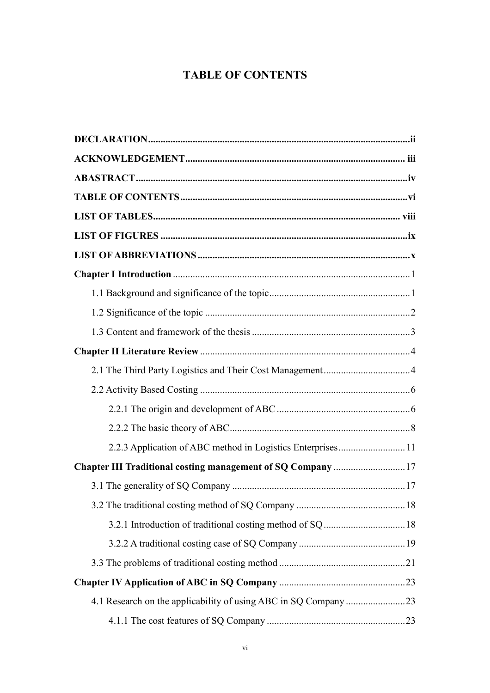## TABLE OF CONTENTS

| 2.2.3 Application of ABC method in Logistics Enterprises 11  |
|--------------------------------------------------------------|
| Chapter III Traditional costing management of SQ Company  17 |
|                                                              |
|                                                              |
|                                                              |
|                                                              |
|                                                              |
|                                                              |
|                                                              |
|                                                              |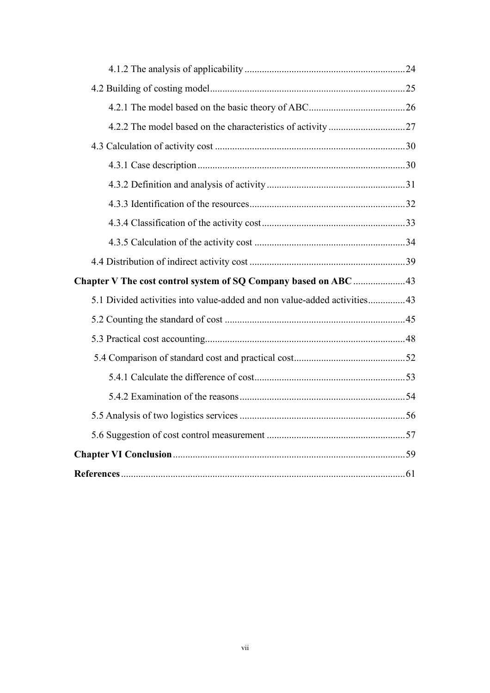| 5.1 Divided activities into value-added and non value-added activities43 |  |
|--------------------------------------------------------------------------|--|
|                                                                          |  |
|                                                                          |  |
|                                                                          |  |
|                                                                          |  |
|                                                                          |  |
|                                                                          |  |
|                                                                          |  |
|                                                                          |  |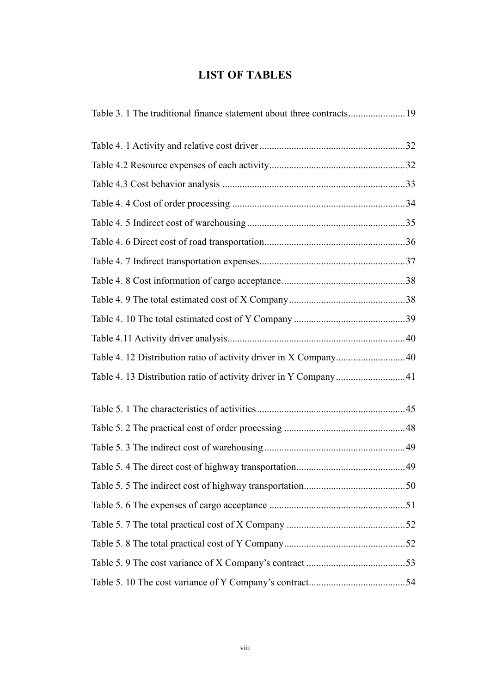## LIST OF TABLES

| Table 4. 12 Distribution ratio of activity driver in X Company40 |  |
|------------------------------------------------------------------|--|
| Table 4. 13 Distribution ratio of activity driver in Y Company41 |  |
|                                                                  |  |
|                                                                  |  |
|                                                                  |  |
|                                                                  |  |
|                                                                  |  |
|                                                                  |  |
|                                                                  |  |
|                                                                  |  |
|                                                                  |  |
|                                                                  |  |
|                                                                  |  |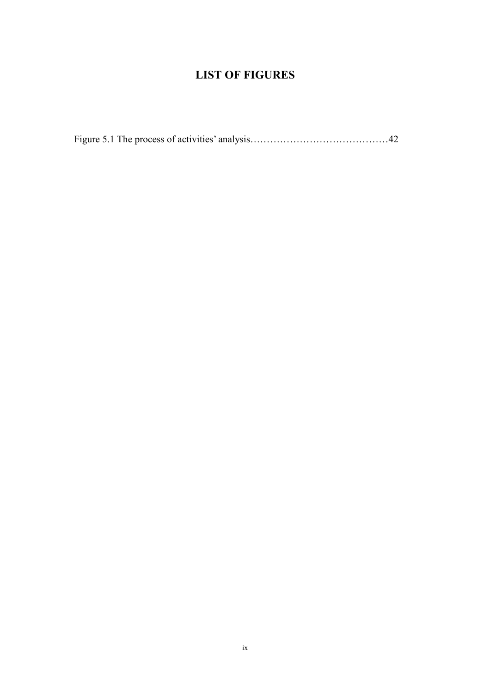## LIST OF FIGURES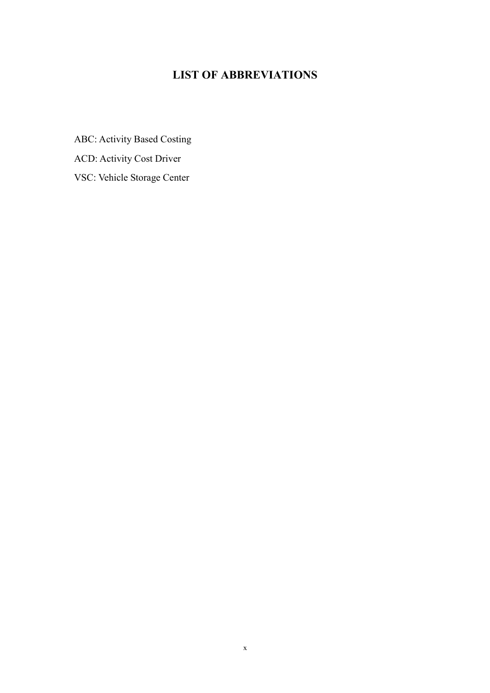## LIST OF ABBREVIATIO
S

ABC: Activity Based Costing

ACD: Activity Cost Driver

VSC: Vehicle Storage Center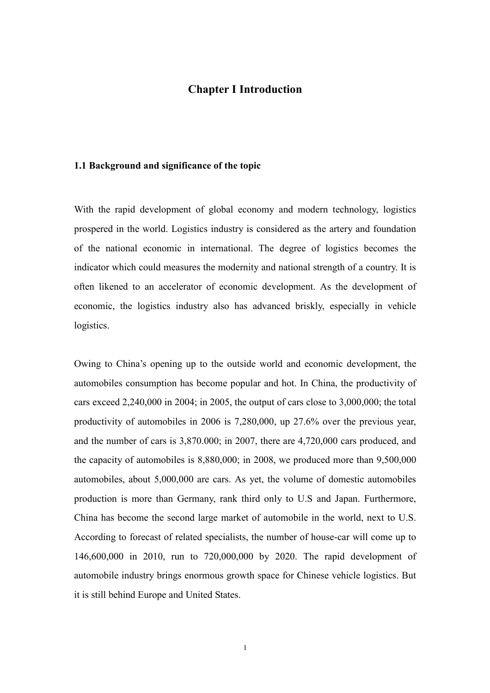#### Chapter I Introduction

#### 1.1 Background and significance of the topic

With the rapid development of global economy and modern technology, logistics prospered in the world. Logistics industry is considered as the artery and foundation of the national economic in international. The degree of logistics becomes the indicator which could measures the modernity and national strength of a country. It is often likened to an accelerator of economic development. As the development of economic, the logistics industry also has advanced briskly, especially in vehicle logistics.

Owing to China's opening up to the outside world and economic development, the automobiles consumption has become popular and hot. In China, the productivity of cars exceed 2,240,000 in 2004; in 2005, the output of cars close to 3,000,000; the total productivity of automobiles in 2006 is 7,280,000, up 27.6% over the previous year, and the number of cars is 3,870.000; in 2007, there are 4,720,000 cars produced, and the capacity of automobiles is 8,880,000; in 2008, we produced more than 9,500,000 automobiles, about 5,000,000 are cars. As yet, the volume of domestic automobiles production is more than Germany, rank third only to U.S and Japan. Furthermore, China has become the second large market of automobile in the world, next to U.S. According to forecast of related specialists, the number of house-car will come up to 146,600,000 in 2010, run to 720,000,000 by 2020. The rapid development of automobile industry brings enormous growth space for Chinese vehicle logistics. But it is still behind Europe and United States.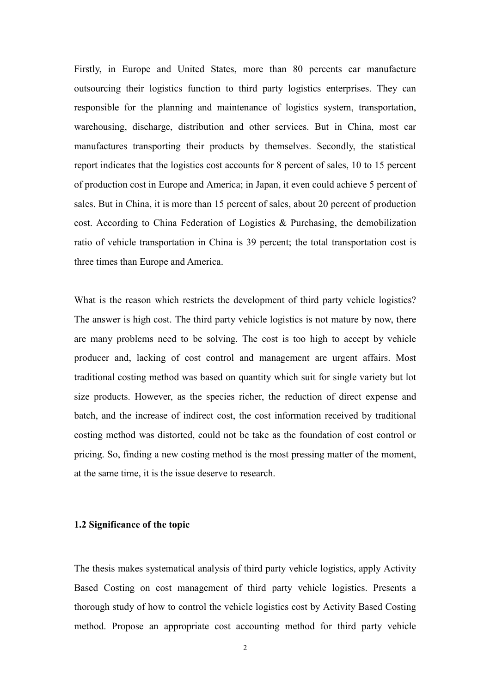Firstly, in Europe and United States, more than 80 percents car manufacture outsourcing their logistics function to third party logistics enterprises. They can responsible for the planning and maintenance of logistics system, transportation, warehousing, discharge, distribution and other services. But in China, most car manufactures transporting their products by themselves. Secondly, the statistical report indicates that the logistics cost accounts for 8 percent of sales, 10 to 15 percent of production cost in Europe and America; in Japan, it even could achieve 5 percent of sales. But in China, it is more than 15 percent of sales, about 20 percent of production cost. According to China Federation of Logistics & Purchasing, the demobilization ratio of vehicle transportation in China is 39 percent; the total transportation cost is three times than Europe and America.

What is the reason which restricts the development of third party vehicle logistics? The answer is high cost. The third party vehicle logistics is not mature by now, there are many problems need to be solving. The cost is too high to accept by vehicle producer and, lacking of cost control and management are urgent affairs. Most traditional costing method was based on quantity which suit for single variety but lot size products. However, as the species richer, the reduction of direct expense and batch, and the increase of indirect cost, the cost information received by traditional costing method was distorted, could not be take as the foundation of cost control or pricing. So, finding a new costing method is the most pressing matter of the moment, at the same time, it is the issue deserve to research.

#### 1.2 Significance of the topic

The thesis makes systematical analysis of third party vehicle logistics, apply Activity Based Costing on cost management of third party vehicle logistics. Presents a thorough study of how to control the vehicle logistics cost by Activity Based Costing method. Propose an appropriate cost accounting method for third party vehicle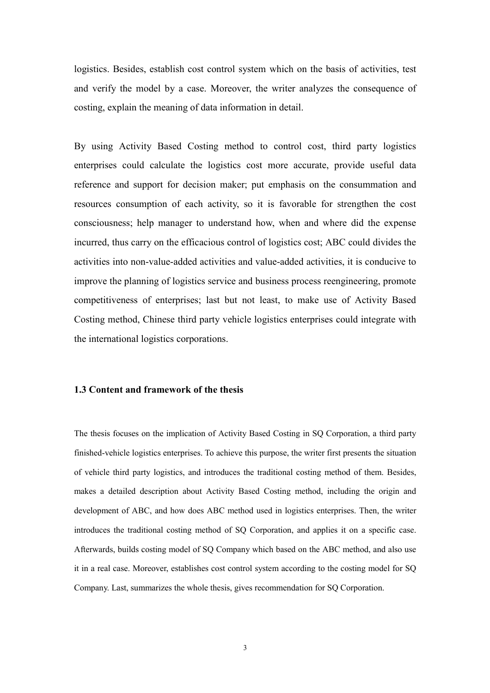logistics. Besides, establish cost control system which on the basis of activities, test and verify the model by a case. Moreover, the writer analyzes the consequence of costing, explain the meaning of data information in detail.

By using Activity Based Costing method to control cost, third party logistics enterprises could calculate the logistics cost more accurate, provide useful data reference and support for decision maker; put emphasis on the consummation and resources consumption of each activity, so it is favorable for strengthen the cost consciousness; help manager to understand how, when and where did the expense incurred, thus carry on the efficacious control of logistics cost; ABC could divides the activities into non-value-added activities and value-added activities, it is conducive to improve the planning of logistics service and business process reengineering, promote competitiveness of enterprises; last but not least, to make use of Activity Based Costing method, Chinese third party vehicle logistics enterprises could integrate with the international logistics corporations.

#### 1.3 Content and framework of the thesis

The thesis focuses on the implication of Activity Based Costing in SQ Corporation, a third party finished-vehicle logistics enterprises. To achieve this purpose, the writer first presents the situation of vehicle third party logistics, and introduces the traditional costing method of them. Besides, makes a detailed description about Activity Based Costing method, including the origin and development of ABC, and how does ABC method used in logistics enterprises. Then, the writer introduces the traditional costing method of SQ Corporation, and applies it on a specific case. Afterwards, builds costing model of SQ Company which based on the ABC method, and also use it in a real case. Moreover, establishes cost control system according to the costing model for SQ Company. Last, summarizes the whole thesis, gives recommendation for SQ Corporation.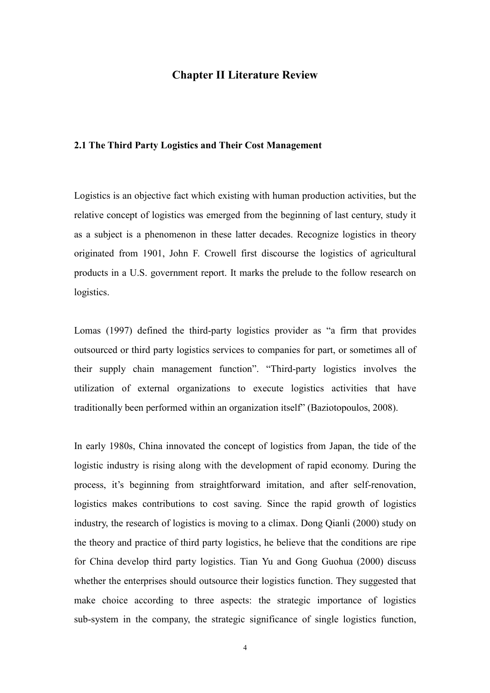#### Chapter II Literature Review

#### 2.1 The Third Party Logistics and Their Cost Management

Logistics is an objective fact which existing with human production activities, but the relative concept of logistics was emerged from the beginning of last century, study it as a subject is a phenomenon in these latter decades. Recognize logistics in theory originated from 1901, John F. Crowell first discourse the logistics of agricultural products in a U.S. government report. It marks the prelude to the follow research on logistics.

Lomas (1997) defined the third-party logistics provider as "a firm that provides outsourced or third party logistics services to companies for part, or sometimes all of their supply chain management function". "Third-party logistics involves the utilization of external organizations to execute logistics activities that have traditionally been performed within an organization itself" (Baziotopoulos, 2008).

In early 1980s, China innovated the concept of logistics from Japan, the tide of the logistic industry is rising along with the development of rapid economy. During the process, it's beginning from straightforward imitation, and after self-renovation, logistics makes contributions to cost saving. Since the rapid growth of logistics industry, the research of logistics is moving to a climax. Dong Qianli (2000) study on the theory and practice of third party logistics, he believe that the conditions are ripe for China develop third party logistics. Tian Yu and Gong Guohua (2000) discuss whether the enterprises should outsource their logistics function. They suggested that make choice according to three aspects: the strategic importance of logistics sub-system in the company, the strategic significance of single logistics function,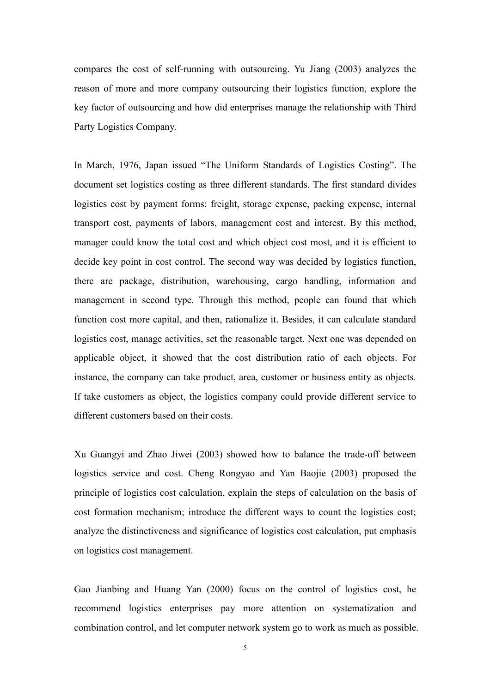compares the cost of self-running with outsourcing. Yu Jiang (2003) analyzes the reason of more and more company outsourcing their logistics function, explore the key factor of outsourcing and how did enterprises manage the relationship with Third Party Logistics Company.

In March, 1976, Japan issued "The Uniform Standards of Logistics Costing". The document set logistics costing as three different standards. The first standard divides logistics cost by payment forms: freight, storage expense, packing expense, internal transport cost, payments of labors, management cost and interest. By this method, manager could know the total cost and which object cost most, and it is efficient to decide key point in cost control. The second way was decided by logistics function, there are package, distribution, warehousing, cargo handling, information and management in second type. Through this method, people can found that which function cost more capital, and then, rationalize it. Besides, it can calculate standard logistics cost, manage activities, set the reasonable target. Next one was depended on applicable object, it showed that the cost distribution ratio of each objects. For instance, the company can take product, area, customer or business entity as objects. If take customers as object, the logistics company could provide different service to different customers based on their costs.

Xu Guangyi and Zhao Jiwei (2003) showed how to balance the trade-off between logistics service and cost. Cheng Rongyao and Yan Baojie (2003) proposed the principle of logistics cost calculation, explain the steps of calculation on the basis of cost formation mechanism; introduce the different ways to count the logistics cost; analyze the distinctiveness and significance of logistics cost calculation, put emphasis on logistics cost management.

Gao Jianbing and Huang Yan (2000) focus on the control of logistics cost, he recommend logistics enterprises pay more attention on systematization and combination control, and let computer network system go to work as much as possible.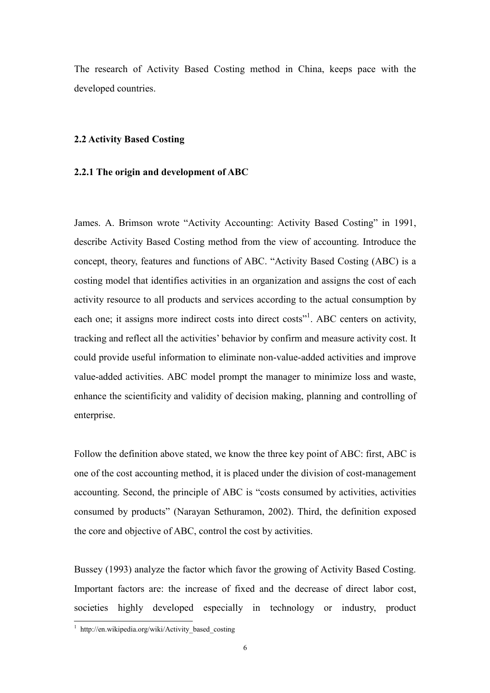The research of Activity Based Costing method in China, keeps pace with the developed countries.

#### 2.2 Activity Based Costing

#### 2.2.1 The origin and development of ABC

James. A. Brimson wrote "Activity Accounting: Activity Based Costing" in 1991, describe Activity Based Costing method from the view of accounting. Introduce the concept, theory, features and functions of ABC. "Activity Based Costing (ABC) is a costing model that identifies activities in an organization and assigns the cost of each activity resource to all products and services according to the actual consumption by each one; it assigns more indirect costs into direct costs"<sup>1</sup>. ABC centers on activity, tracking and reflect all the activities' behavior by confirm and measure activity cost. It could provide useful information to eliminate non-value-added activities and improve value-added activities. ABC model prompt the manager to minimize loss and waste, enhance the scientificity and validity of decision making, planning and controlling of enterprise.

Follow the definition above stated, we know the three key point of ABC: first, ABC is one of the cost accounting method, it is placed under the division of cost-management accounting. Second, the principle of ABC is "costs consumed by activities, activities consumed by products" (Narayan Sethuramon, 2002). Third, the definition exposed the core and objective of ABC, control the cost by activities.

Bussey (1993) analyze the factor which favor the growing of Activity Based Costing. Important factors are: the increase of fixed and the decrease of direct labor cost, societies highly developed especially in technology or industry, product

 1 http://en.wikipedia.org/wiki/Activity\_based\_costing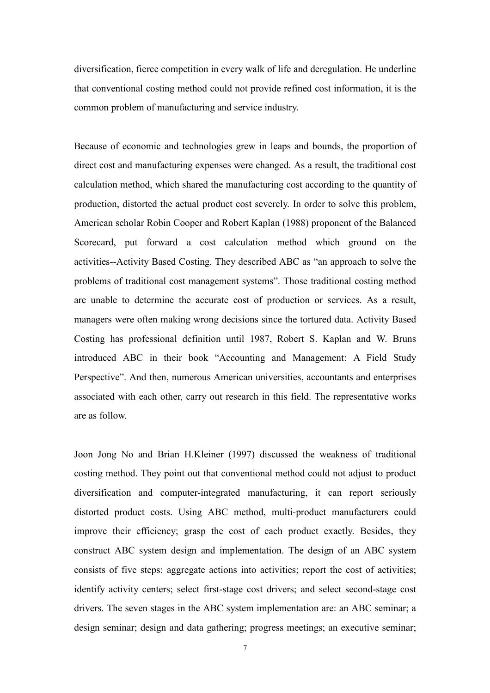diversification, fierce competition in every walk of life and deregulation. He underline that conventional costing method could not provide refined cost information, it is the common problem of manufacturing and service industry.

Because of economic and technologies grew in leaps and bounds, the proportion of direct cost and manufacturing expenses were changed. As a result, the traditional cost calculation method, which shared the manufacturing cost according to the quantity of production, distorted the actual product cost severely. In order to solve this problem, American scholar Robin Cooper and Robert Kaplan (1988) proponent of the Balanced Scorecard, put forward a cost calculation method which ground on the activities--Activity Based Costing. They described ABC as "an approach to solve the problems of traditional cost management systems". Those traditional costing method are unable to determine the accurate cost of production or services. As a result, managers were often making wrong decisions since the tortured data. Activity Based Costing has professional definition until 1987, Robert S. Kaplan and W. Bruns introduced ABC in their book "Accounting and Management: A Field Study Perspective". And then, numerous American universities, accountants and enterprises associated with each other, carry out research in this field. The representative works are as follow.

Joon Jong No and Brian H.Kleiner (1997) discussed the weakness of traditional costing method. They point out that conventional method could not adjust to product diversification and computer-integrated manufacturing, it can report seriously distorted product costs. Using ABC method, multi-product manufacturers could improve their efficiency; grasp the cost of each product exactly. Besides, they construct ABC system design and implementation. The design of an ABC system consists of five steps: aggregate actions into activities; report the cost of activities; identify activity centers; select first-stage cost drivers; and select second-stage cost drivers. The seven stages in the ABC system implementation are: an ABC seminar; a design seminar; design and data gathering; progress meetings; an executive seminar;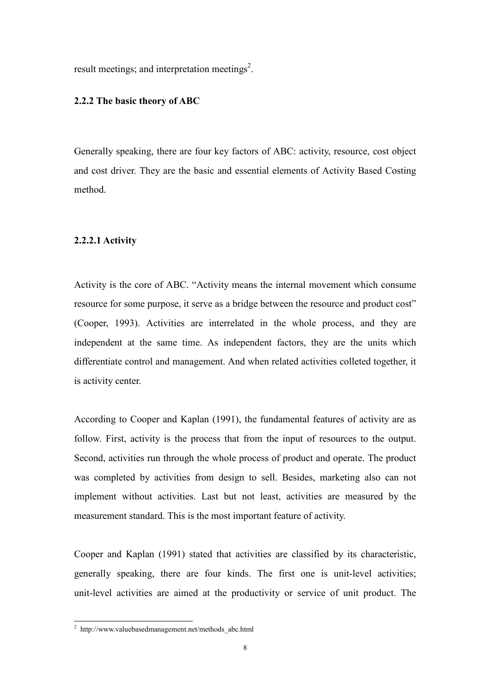result meetings; and interpretation meetings<sup>2</sup>.

#### 2.2.2 The basic theory of ABC

Generally speaking, there are four key factors of ABC: activity, resource, cost object and cost driver. They are the basic and essential elements of Activity Based Costing method.

#### 2.2.2.1 Activity

Activity is the core of ABC. "Activity means the internal movement which consume resource for some purpose, it serve as a bridge between the resource and product cost" (Cooper, 1993). Activities are interrelated in the whole process, and they are independent at the same time. As independent factors, they are the units which differentiate control and management. And when related activities colleted together, it is activity center.

According to Cooper and Kaplan (1991), the fundamental features of activity are as follow. First, activity is the process that from the input of resources to the output. Second, activities run through the whole process of product and operate. The product was completed by activities from design to sell. Besides, marketing also can not implement without activities. Last but not least, activities are measured by the measurement standard. This is the most important feature of activity.

Cooper and Kaplan (1991) stated that activities are classified by its characteristic, generally speaking, there are four kinds. The first one is unit-level activities; unit-level activities are aimed at the productivity or service of unit product. The

 2 http://www.valuebasedmanagement.net/methods\_abc.html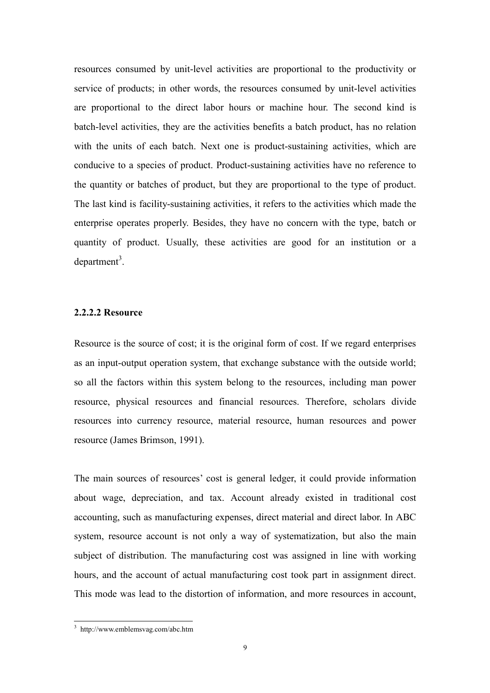resources consumed by unit-level activities are proportional to the productivity or service of products; in other words, the resources consumed by unit-level activities are proportional to the direct labor hours or machine hour. The second kind is batch-level activities, they are the activities benefits a batch product, has no relation with the units of each batch. Next one is product-sustaining activities, which are conducive to a species of product. Product-sustaining activities have no reference to the quantity or batches of product, but they are proportional to the type of product. The last kind is facility-sustaining activities, it refers to the activities which made the enterprise operates properly. Besides, they have no concern with the type, batch or quantity of product. Usually, these activities are good for an institution or a  $department<sup>3</sup>$ .

#### 2.2.2.2 Resource

Resource is the source of cost; it is the original form of cost. If we regard enterprises as an input-output operation system, that exchange substance with the outside world; so all the factors within this system belong to the resources, including man power resource, physical resources and financial resources. Therefore, scholars divide resources into currency resource, material resource, human resources and power resource (James Brimson, 1991).

The main sources of resources' cost is general ledger, it could provide information about wage, depreciation, and tax. Account already existed in traditional cost accounting, such as manufacturing expenses, direct material and direct labor. In ABC system, resource account is not only a way of systematization, but also the main subject of distribution. The manufacturing cost was assigned in line with working hours, and the account of actual manufacturing cost took part in assignment direct. This mode was lead to the distortion of information, and more resources in account,

 3 http://www.emblemsvag.com/abc.htm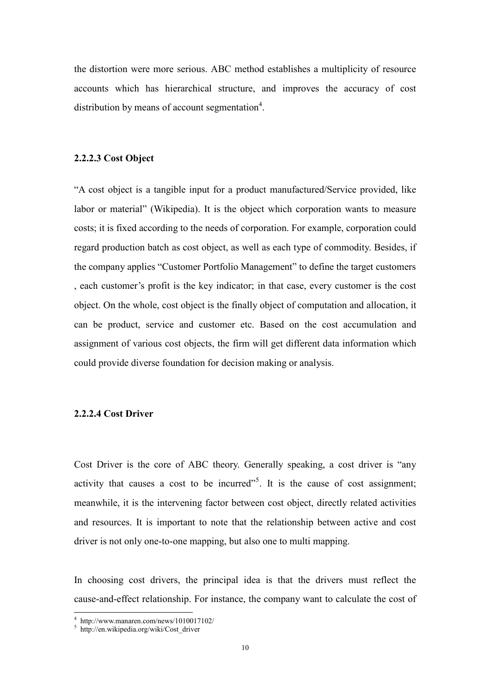the distortion were more serious. ABC method establishes a multiplicity of resource accounts which has hierarchical structure, and improves the accuracy of cost distribution by means of account segmentation<sup>4</sup>.

#### 2.2.2.3 Cost Object

"A cost object is a tangible input for a product manufactured/Service provided, like labor or material" (Wikipedia). It is the object which corporation wants to measure costs; it is fixed according to the needs of corporation. For example, corporation could regard production batch as cost object, as well as each type of commodity. Besides, if the company applies "Customer Portfolio Management" to define the target customers , each customer's profit is the key indicator; in that case, every customer is the cost object. On the whole, cost object is the finally object of computation and allocation, it can be product, service and customer etc. Based on the cost accumulation and assignment of various cost objects, the firm will get different data information which could provide diverse foundation for decision making or analysis.

#### 2.2.2.4 Cost Driver

Cost Driver is the core of ABC theory. Generally speaking, a cost driver is "any activity that causes a cost to be incurred"<sup>5</sup>. It is the cause of cost assignment; meanwhile, it is the intervening factor between cost object, directly related activities and resources. It is important to note that the relationship between active and cost driver is not only one-to-one mapping, but also one to multi mapping.

In choosing cost drivers, the principal idea is that the drivers must reflect the cause-and-effect relationship. For instance, the company want to calculate the cost of

 4 http://www.manaren.com/news/1010017102/

<sup>5</sup> http://en.wikipedia.org/wiki/Cost\_driver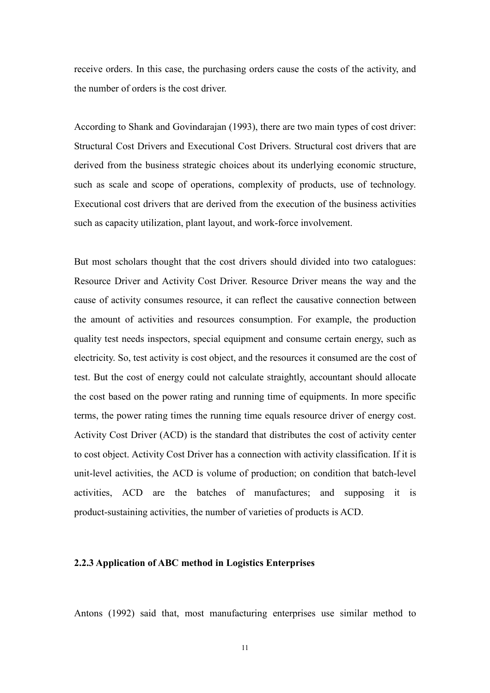receive orders. In this case, the purchasing orders cause the costs of the activity, and the number of orders is the cost driver.

According to Shank and Govindarajan (1993), there are two main types of cost driver: Structural Cost Drivers and Executional Cost Drivers. Structural cost drivers that are derived from the business strategic choices about its underlying economic structure, such as scale and scope of operations, complexity of products, use of technology. Executional cost drivers that are derived from the execution of the business activities such as capacity utilization, plant layout, and work-force involvement.

But most scholars thought that the cost drivers should divided into two catalogues: Resource Driver and Activity Cost Driver. Resource Driver means the way and the cause of activity consumes resource, it can reflect the causative connection between the amount of activities and resources consumption. For example, the production quality test needs inspectors, special equipment and consume certain energy, such as electricity. So, test activity is cost object, and the resources it consumed are the cost of test. But the cost of energy could not calculate straightly, accountant should allocate the cost based on the power rating and running time of equipments. In more specific terms, the power rating times the running time equals resource driver of energy cost. Activity Cost Driver (ACD) is the standard that distributes the cost of activity center to cost object. Activity Cost Driver has a connection with activity classification. If it is unit-level activities, the ACD is volume of production; on condition that batch-level activities, ACD are the batches of manufactures; and supposing it is product-sustaining activities, the number of varieties of products is ACD.

#### 2.2.3 Application of ABC method in Logistics Enterprises

Antons (1992) said that, most manufacturing enterprises use similar method to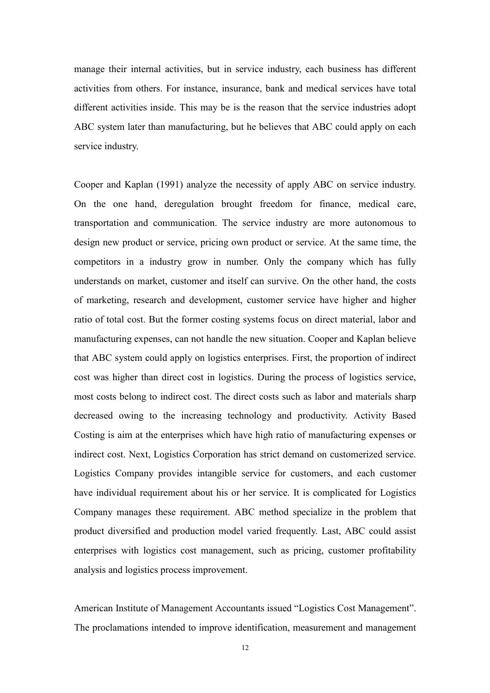manage their internal activities, but in service industry, each business has different activities from others. For instance, insurance, bank and medical services have total different activities inside. This may be is the reason that the service industries adopt ABC system later than manufacturing, but he believes that ABC could apply on each service industry.

Cooper and Kaplan (1991) analyze the necessity of apply ABC on service industry. On the one hand, deregulation brought freedom for finance, medical care, transportation and communication. The service industry are more autonomous to design new product or service, pricing own product or service. At the same time, the competitors in a industry grow in number. Only the company which has fully understands on market, customer and itself can survive. On the other hand, the costs of marketing, research and development, customer service have higher and higher ratio of total cost. But the former costing systems focus on direct material, labor and manufacturing expenses, can not handle the new situation. Cooper and Kaplan believe that ABC system could apply on logistics enterprises. First, the proportion of indirect cost was higher than direct cost in logistics. During the process of logistics service, most costs belong to indirect cost. The direct costs such as labor and materials sharp decreased owing to the increasing technology and productivity. Activity Based Costing is aim at the enterprises which have high ratio of manufacturing expenses or indirect cost. Next, Logistics Corporation has strict demand on customerized service. Logistics Company provides intangible service for customers, and each customer have individual requirement about his or her service. It is complicated for Logistics Company manages these requirement. ABC method specialize in the problem that product diversified and production model varied frequently. Last, ABC could assist enterprises with logistics cost management, such as pricing, customer profitability analysis and logistics process improvement.

American Institute of Management Accountants issued "Logistics Cost Management". The proclamations intended to improve identification, measurement and management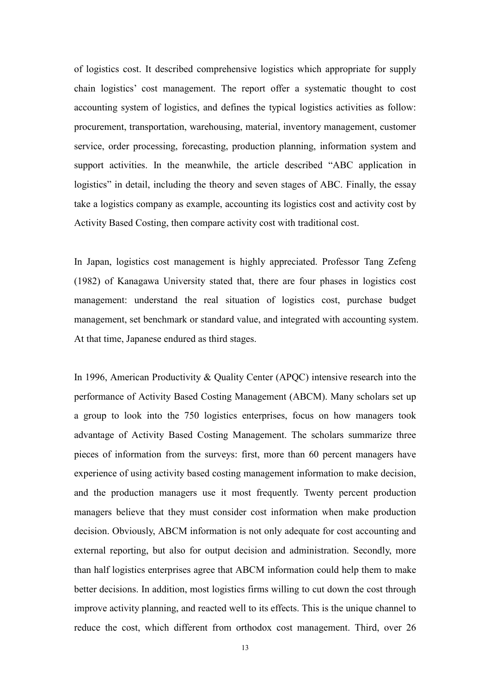of logistics cost. It described comprehensive logistics which appropriate for supply chain logistics' cost management. The report offer a systematic thought to cost accounting system of logistics, and defines the typical logistics activities as follow: procurement, transportation, warehousing, material, inventory management, customer service, order processing, forecasting, production planning, information system and support activities. In the meanwhile, the article described "ABC application in logistics" in detail, including the theory and seven stages of ABC. Finally, the essay take a logistics company as example, accounting its logistics cost and activity cost by Activity Based Costing, then compare activity cost with traditional cost.

In Japan, logistics cost management is highly appreciated. Professor Tang Zefeng (1982) of Kanagawa University stated that, there are four phases in logistics cost management: understand the real situation of logistics cost, purchase budget management, set benchmark or standard value, and integrated with accounting system. At that time, Japanese endured as third stages.

In 1996, American Productivity & Quality Center (APQC) intensive research into the performance of Activity Based Costing Management (ABCM). Many scholars set up a group to look into the 750 logistics enterprises, focus on how managers took advantage of Activity Based Costing Management. The scholars summarize three pieces of information from the surveys: first, more than 60 percent managers have experience of using activity based costing management information to make decision, and the production managers use it most frequently. Twenty percent production managers believe that they must consider cost information when make production decision. Obviously, ABCM information is not only adequate for cost accounting and external reporting, but also for output decision and administration. Secondly, more than half logistics enterprises agree that ABCM information could help them to make better decisions. In addition, most logistics firms willing to cut down the cost through improve activity planning, and reacted well to its effects. This is the unique channel to reduce the cost, which different from orthodox cost management. Third, over 26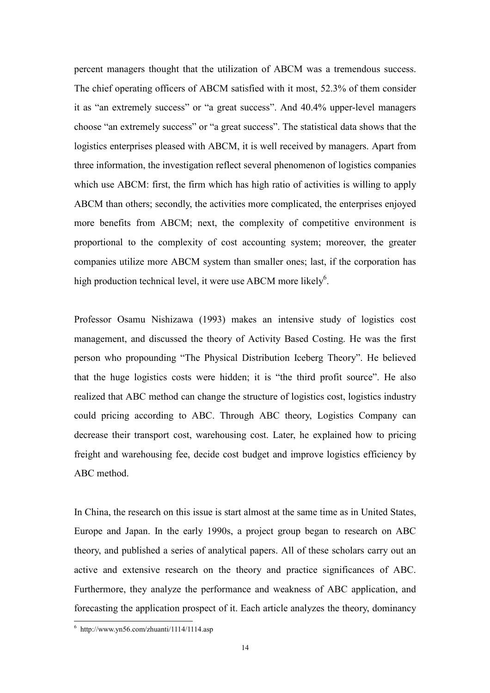percent managers thought that the utilization of ABCM was a tremendous success. The chief operating officers of ABCM satisfied with it most, 52.3% of them consider it as "an extremely success" or "a great success". And 40.4% upper-level managers choose "an extremely success" or "a great success". The statistical data shows that the logistics enterprises pleased with ABCM, it is well received by managers. Apart from three information, the investigation reflect several phenomenon of logistics companies which use ABCM: first, the firm which has high ratio of activities is willing to apply ABCM than others; secondly, the activities more complicated, the enterprises enjoyed more benefits from ABCM; next, the complexity of competitive environment is proportional to the complexity of cost accounting system; moreover, the greater companies utilize more ABCM system than smaller ones; last, if the corporation has high production technical level, it were use ABCM more likely<sup>6</sup>.

Professor Osamu Nishizawa (1993) makes an intensive study of logistics cost management, and discussed the theory of Activity Based Costing. He was the first person who propounding "The Physical Distribution Iceberg Theory". He believed that the huge logistics costs were hidden; it is "the third profit source". He also realized that ABC method can change the structure of logistics cost, logistics industry could pricing according to ABC. Through ABC theory, Logistics Company can decrease their transport cost, warehousing cost. Later, he explained how to pricing freight and warehousing fee, decide cost budget and improve logistics efficiency by ABC method.

In China, the research on this issue is start almost at the same time as in United States, Europe and Japan. In the early 1990s, a project group began to research on ABC theory, and published a series of analytical papers. All of these scholars carry out an active and extensive research on the theory and practice significances of ABC. Furthermore, they analyze the performance and weakness of ABC application, and forecasting the application prospect of it. Each article analyzes the theory, dominancy

 6 http://www.yn56.com/zhuanti/1114/1114.asp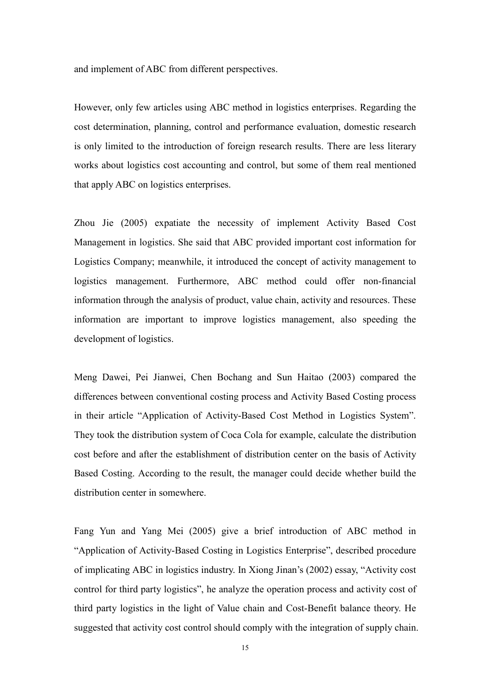and implement of ABC from different perspectives.

However, only few articles using ABC method in logistics enterprises. Regarding the cost determination, planning, control and performance evaluation, domestic research is only limited to the introduction of foreign research results. There are less literary works about logistics cost accounting and control, but some of them real mentioned that apply ABC on logistics enterprises.

Zhou Jie (2005) expatiate the necessity of implement Activity Based Cost Management in logistics. She said that ABC provided important cost information for Logistics Company; meanwhile, it introduced the concept of activity management to logistics management. Furthermore, ABC method could offer non-financial information through the analysis of product, value chain, activity and resources. These information are important to improve logistics management, also speeding the development of logistics.

Meng Dawei, Pei Jianwei, Chen Bochang and Sun Haitao (2003) compared the differences between conventional costing process and Activity Based Costing process in their article "Application of Activity-Based Cost Method in Logistics System". They took the distribution system of Coca Cola for example, calculate the distribution cost before and after the establishment of distribution center on the basis of Activity Based Costing. According to the result, the manager could decide whether build the distribution center in somewhere.

Fang Yun and Yang Mei (2005) give a brief introduction of ABC method in "Application of Activity-Based Costing in Logistics Enterprise", described procedure of implicating ABC in logistics industry. In Xiong Jinan's (2002) essay, "Activity cost control for third party logistics", he analyze the operation process and activity cost of third party logistics in the light of Value chain and Cost-Benefit balance theory. He suggested that activity cost control should comply with the integration of supply chain.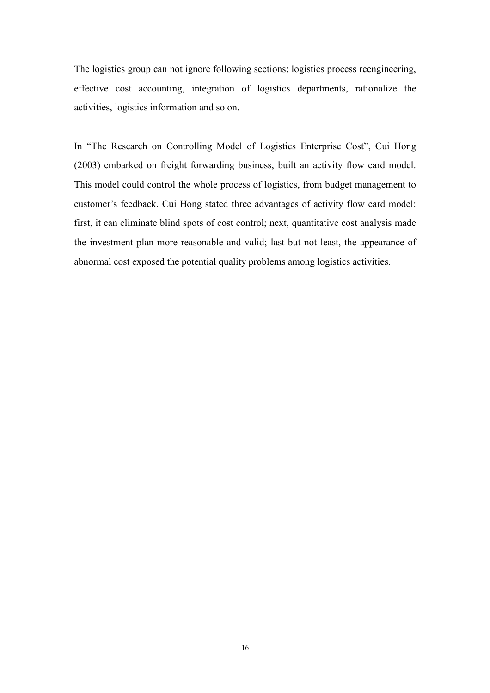The logistics group can not ignore following sections: logistics process reengineering, effective cost accounting, integration of logistics departments, rationalize the activities, logistics information and so on.

In "The Research on Controlling Model of Logistics Enterprise Cost", Cui Hong (2003) embarked on freight forwarding business, built an activity flow card model. This model could control the whole process of logistics, from budget management to customer's feedback. Cui Hong stated three advantages of activity flow card model: first, it can eliminate blind spots of cost control; next, quantitative cost analysis made the investment plan more reasonable and valid; last but not least, the appearance of abnormal cost exposed the potential quality problems among logistics activities.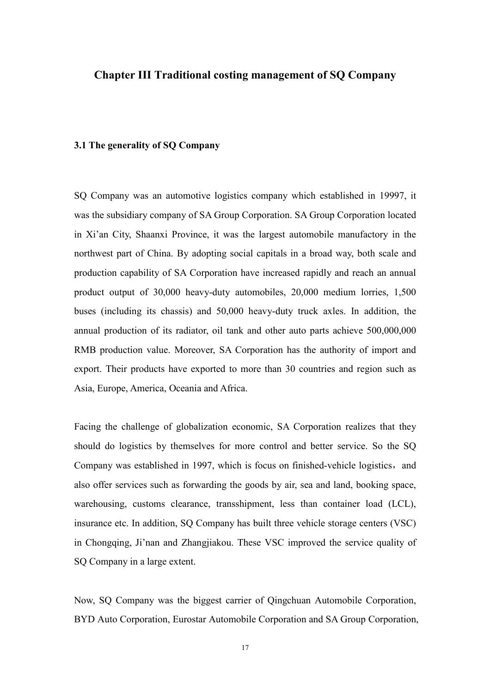#### Chapter III Traditional costing management of SQ Company

#### 3.1 The generality of SQ Company

SQ Company was an automotive logistics company which established in 19997, it was the subsidiary company of SA Group Corporation. SA Group Corporation located in Xi'an City, Shaanxi Province, it was the largest automobile manufactory in the northwest part of China. By adopting social capitals in a broad way, both scale and production capability of SA Corporation have increased rapidly and reach an annual product output of 30,000 heavy-duty automobiles, 20,000 medium lorries, 1,500 buses (including its chassis) and 50,000 heavy-duty truck axles. In addition, the annual production of its radiator, oil tank and other auto parts achieve 500,000,000 RMB production value. Moreover, SA Corporation has the authority of import and export. Their products have exported to more than 30 countries and region such as Asia, Europe, America, Oceania and Africa.

Facing the challenge of globalization economic, SA Corporation realizes that they should do logistics by themselves for more control and better service. So the SQ Company was established in 1997, which is focus on finished-vehicle logistics, and also offer services such as forwarding the goods by air, sea and land, booking space, warehousing, customs clearance, transshipment, less than container load (LCL), insurance etc. In addition, SQ Company has built three vehicle storage centers (VSC) in Chongqing, Ji'nan and Zhangjiakou. These VSC improved the service quality of SQ Company in a large extent.

Now, SQ Company was the biggest carrier of Qingchuan Automobile Corporation, BYD Auto Corporation, Eurostar Automobile Corporation and SA Group Corporation,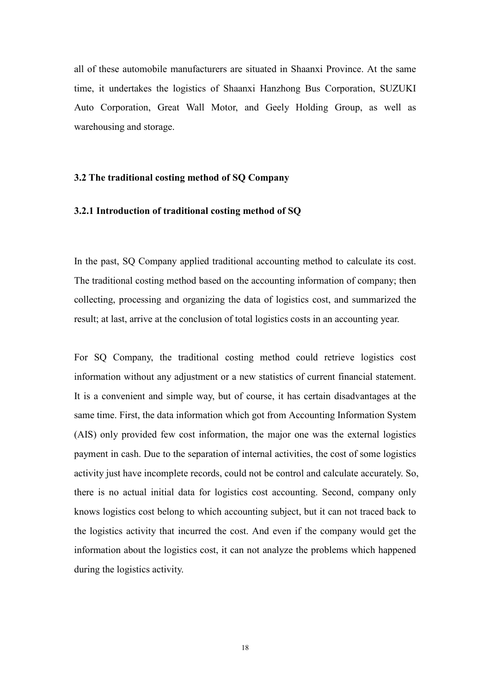all of these automobile manufacturers are situated in Shaanxi Province. At the same time, it undertakes the logistics of Shaanxi Hanzhong Bus Corporation, SUZUKI Auto Corporation, Great Wall Motor, and Geely Holding Group, as well as warehousing and storage.

#### 3.2 The traditional costing method of SQ Company

#### 3.2.1 Introduction of traditional costing method of SQ

In the past, SQ Company applied traditional accounting method to calculate its cost. The traditional costing method based on the accounting information of company; then collecting, processing and organizing the data of logistics cost, and summarized the result; at last, arrive at the conclusion of total logistics costs in an accounting year.

For SQ Company, the traditional costing method could retrieve logistics cost information without any adjustment or a new statistics of current financial statement. It is a convenient and simple way, but of course, it has certain disadvantages at the same time. First, the data information which got from Accounting Information System (AIS) only provided few cost information, the major one was the external logistics payment in cash. Due to the separation of internal activities, the cost of some logistics activity just have incomplete records, could not be control and calculate accurately. So, there is no actual initial data for logistics cost accounting. Second, company only knows logistics cost belong to which accounting subject, but it can not traced back to the logistics activity that incurred the cost. And even if the company would get the information about the logistics cost, it can not analyze the problems which happened during the logistics activity.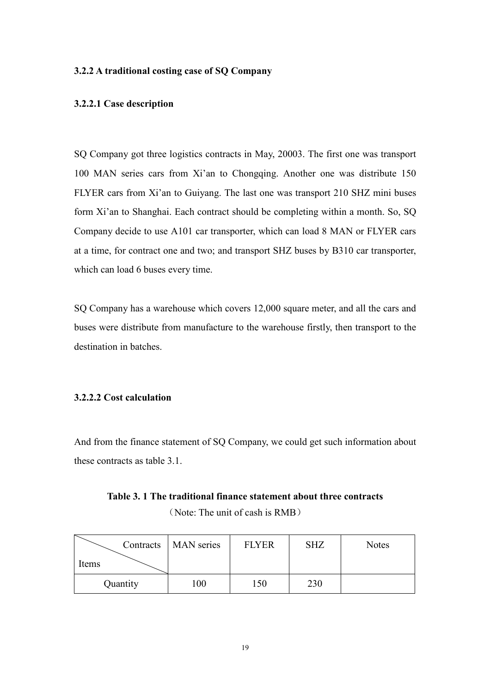#### 3.2.2 A traditional costing case of SQ Company

#### 3.2.2.1 Case description

SQ Company got three logistics contracts in May, 20003. The first one was transport 100 MAN series cars from Xi'an to Chongqing. Another one was distribute 150 FLYER cars from Xi'an to Guiyang. The last one was transport 210 SHZ mini buses form Xi'an to Shanghai. Each contract should be completing within a month. So, SQ Company decide to use A101 car transporter, which can load 8 MAN or FLYER cars at a time, for contract one and two; and transport SHZ buses by B310 car transporter, which can load 6 buses every time.

SQ Company has a warehouse which covers 12,000 square meter, and all the cars and buses were distribute from manufacture to the warehouse firstly, then transport to the destination in batches.

#### 3.2.2.2 Cost calculation

And from the finance statement of SQ Company, we could get such information about these contracts as table 3.1.

| Table 3. 1 The traditional finance statement about three contracts |  |
|--------------------------------------------------------------------|--|
|--------------------------------------------------------------------|--|

(Note: The unit of cash is RMB)

|          | Contracts   MAN series | <b>FLYER</b> | <b>SHZ</b> | Notes |
|----------|------------------------|--------------|------------|-------|
| Items    |                        |              |            |       |
| Quantity | 00                     | 150          | 230        |       |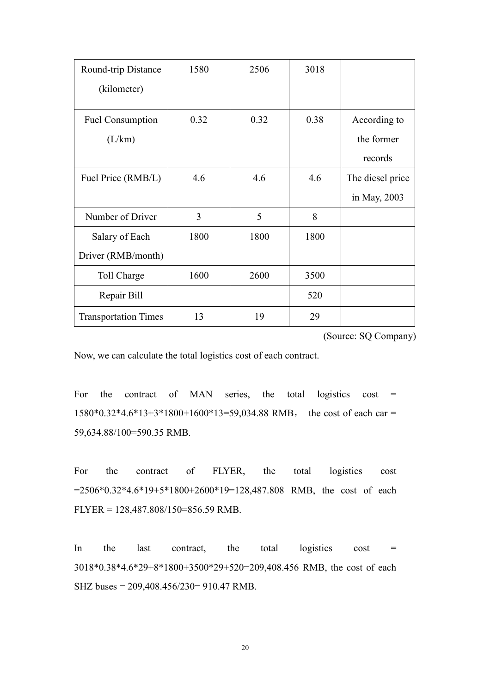| Round-trip Distance         | 1580 | 2506 | 3018 |                  |
|-----------------------------|------|------|------|------------------|
| (kilometer)                 |      |      |      |                  |
|                             |      |      |      |                  |
| <b>Fuel Consumption</b>     | 0.32 | 0.32 | 0.38 | According to     |
| (L/km)                      |      |      |      | the former       |
|                             |      |      |      | records          |
| Fuel Price (RMB/L)          | 4.6  | 4.6  | 4.6  | The diesel price |
|                             |      |      |      | in May, 2003     |
| Number of Driver            | 3    | 5    | 8    |                  |
| Salary of Each              | 1800 | 1800 | 1800 |                  |
| Driver (RMB/month)          |      |      |      |                  |
| Toll Charge                 | 1600 | 2600 | 3500 |                  |
| Repair Bill                 |      |      | 520  |                  |
| <b>Transportation Times</b> | 13   | 19   | 29   |                  |

(Source: SQ Company)

Now, we can calculate the total logistics cost of each contract.

For the contract of MAN series, the total logistics cost  $=$ 1580\*0.32\*4.6\*13+3\*1800+1600\*13=59,034.88 RMB, the cost of each car = 59,634.88/100=590.35 RMB.

For the contract of FLYER, the total logistics cost =2506\*0.32\*4.6\*19+5\*1800+2600\*19=128,487.808 RMB, the cost of each FLYER = 128,487.808/150=856.59 RMB.

In the last contract, the total logistics cost  $=$ 3018\*0.38\*4.6\*29+8\*1800+3500\*29+520=209,408.456 RMB, the cost of each SHZ buses = 209,408.456/230= 910.47 RMB.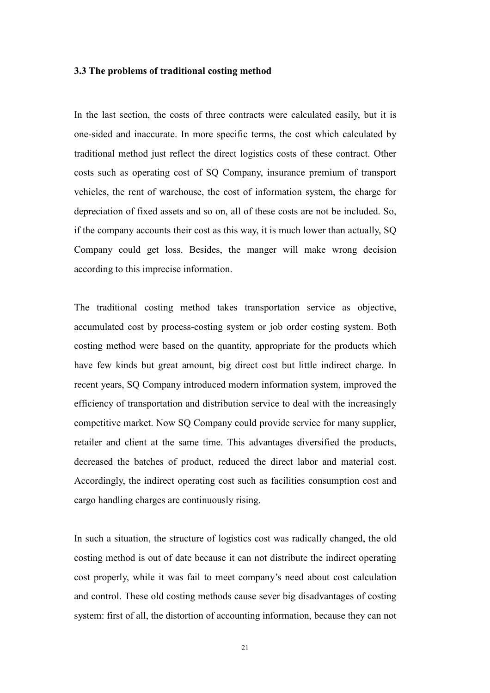#### 3.3 The problems of traditional costing method

In the last section, the costs of three contracts were calculated easily, but it is one-sided and inaccurate. In more specific terms, the cost which calculated by traditional method just reflect the direct logistics costs of these contract. Other costs such as operating cost of SQ Company, insurance premium of transport vehicles, the rent of warehouse, the cost of information system, the charge for depreciation of fixed assets and so on, all of these costs are not be included. So, if the company accounts their cost as this way, it is much lower than actually, SQ Company could get loss. Besides, the manger will make wrong decision according to this imprecise information.

The traditional costing method takes transportation service as objective, accumulated cost by process-costing system or job order costing system. Both costing method were based on the quantity, appropriate for the products which have few kinds but great amount, big direct cost but little indirect charge. In recent years, SQ Company introduced modern information system, improved the efficiency of transportation and distribution service to deal with the increasingly competitive market. Now SQ Company could provide service for many supplier, retailer and client at the same time. This advantages diversified the products, decreased the batches of product, reduced the direct labor and material cost. Accordingly, the indirect operating cost such as facilities consumption cost and cargo handling charges are continuously rising.

In such a situation, the structure of logistics cost was radically changed, the old costing method is out of date because it can not distribute the indirect operating cost properly, while it was fail to meet company's need about cost calculation and control. These old costing methods cause sever big disadvantages of costing system: first of all, the distortion of accounting information, because they can not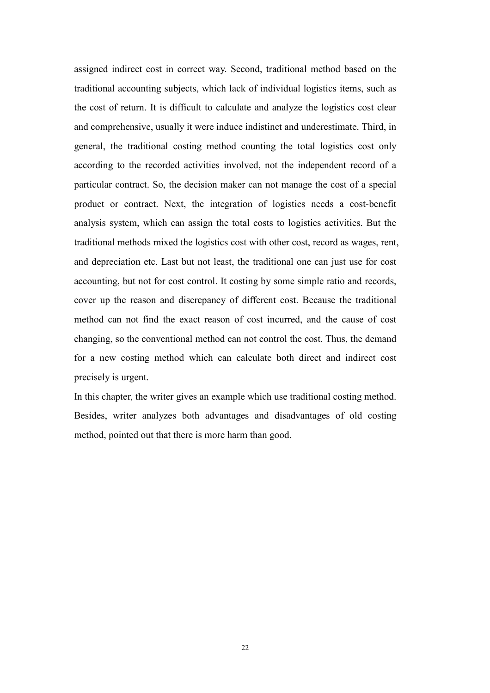assigned indirect cost in correct way. Second, traditional method based on the traditional accounting subjects, which lack of individual logistics items, such as the cost of return. It is difficult to calculate and analyze the logistics cost clear and comprehensive, usually it were induce indistinct and underestimate. Third, in general, the traditional costing method counting the total logistics cost only according to the recorded activities involved, not the independent record of a particular contract. So, the decision maker can not manage the cost of a special product or contract. Next, the integration of logistics needs a cost-benefit analysis system, which can assign the total costs to logistics activities. But the traditional methods mixed the logistics cost with other cost, record as wages, rent, and depreciation etc. Last but not least, the traditional one can just use for cost accounting, but not for cost control. It costing by some simple ratio and records, cover up the reason and discrepancy of different cost. Because the traditional method can not find the exact reason of cost incurred, and the cause of cost changing, so the conventional method can not control the cost. Thus, the demand for a new costing method which can calculate both direct and indirect cost precisely is urgent.

In this chapter, the writer gives an example which use traditional costing method. Besides, writer analyzes both advantages and disadvantages of old costing method, pointed out that there is more harm than good.

22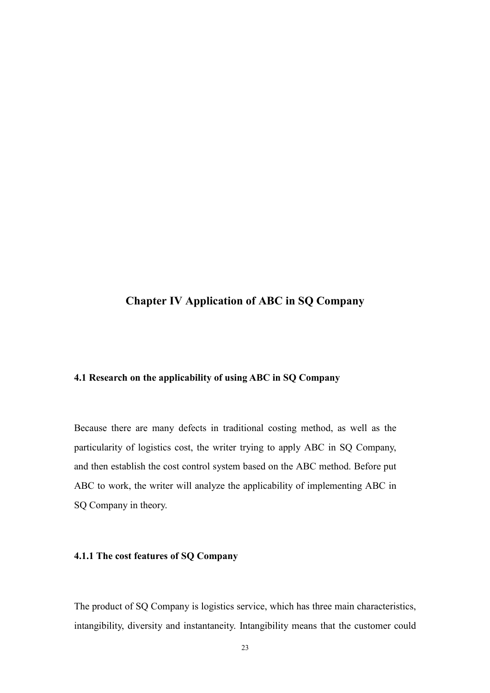### Chapter IV Application of ABC in SQ Company

#### 4.1 Research on the applicability of using ABC in SQ Company

Because there are many defects in traditional costing method, as well as the particularity of logistics cost, the writer trying to apply ABC in SQ Company, and then establish the cost control system based on the ABC method. Before put ABC to work, the writer will analyze the applicability of implementing ABC in SQ Company in theory.

#### 4.1.1 The cost features of SQ Company

The product of SQ Company is logistics service, which has three main characteristics, intangibility, diversity and instantaneity. Intangibility means that the customer could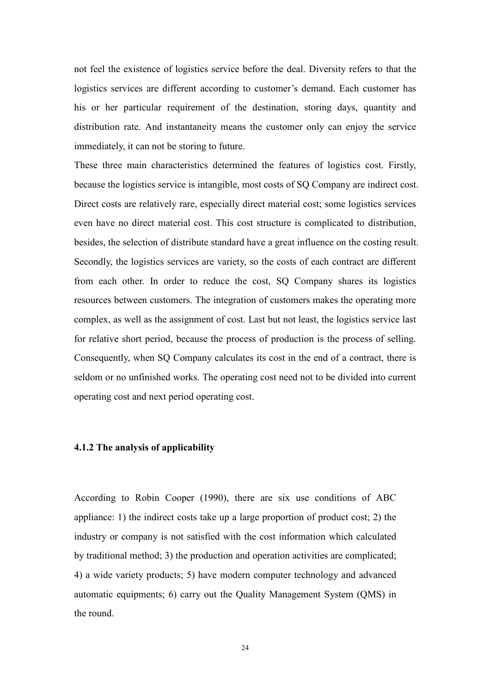not feel the existence of logistics service before the deal. Diversity refers to that the logistics services are different according to customer's demand. Each customer has his or her particular requirement of the destination, storing days, quantity and distribution rate. And instantaneity means the customer only can enjoy the service immediately, it can not be storing to future.

These three main characteristics determined the features of logistics cost. Firstly, because the logistics service is intangible, most costs of SQ Company are indirect cost. Direct costs are relatively rare, especially direct material cost; some logistics services even have no direct material cost. This cost structure is complicated to distribution, besides, the selection of distribute standard have a great influence on the costing result. Secondly, the logistics services are variety, so the costs of each contract are different from each other. In order to reduce the cost, SQ Company shares its logistics resources between customers. The integration of customers makes the operating more complex, as well as the assignment of cost. Last but not least, the logistics service last for relative short period, because the process of production is the process of selling. Consequently, when SQ Company calculates its cost in the end of a contract, there is seldom or no unfinished works. The operating cost need not to be divided into current operating cost and next period operating cost.

#### 4.1.2 The analysis of applicability

According to Robin Cooper (1990), there are six use conditions of ABC appliance: 1) the indirect costs take up a large proportion of product cost; 2) the industry or company is not satisfied with the cost information which calculated by traditional method; 3) the production and operation activities are complicated; 4) a wide variety products; 5) have modern computer technology and advanced automatic equipments; 6) carry out the Quality Management System (QMS) in the round.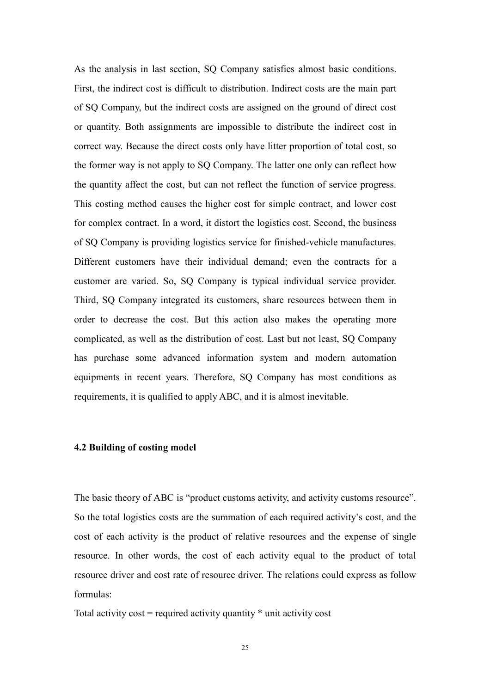As the analysis in last section, SQ Company satisfies almost basic conditions. First, the indirect cost is difficult to distribution. Indirect costs are the main part of SQ Company, but the indirect costs are assigned on the ground of direct cost or quantity. Both assignments are impossible to distribute the indirect cost in correct way. Because the direct costs only have litter proportion of total cost, so the former way is not apply to SQ Company. The latter one only can reflect how the quantity affect the cost, but can not reflect the function of service progress. This costing method causes the higher cost for simple contract, and lower cost for complex contract. In a word, it distort the logistics cost. Second, the business of SQ Company is providing logistics service for finished-vehicle manufactures. Different customers have their individual demand; even the contracts for a customer are varied. So, SQ Company is typical individual service provider. Third, SQ Company integrated its customers, share resources between them in order to decrease the cost. But this action also makes the operating more complicated, as well as the distribution of cost. Last but not least, SQ Company has purchase some advanced information system and modern automation equipments in recent years. Therefore, SQ Company has most conditions as requirements, it is qualified to apply ABC, and it is almost inevitable.

#### 4.2 Building of costing model

The basic theory of ABC is "product customs activity, and activity customs resource". So the total logistics costs are the summation of each required activity's cost, and the cost of each activity is the product of relative resources and the expense of single resource. In other words, the cost of each activity equal to the product of total resource driver and cost rate of resource driver. The relations could express as follow formulas:

Total activity  $cost = required$  activity quantity  $*$  unit activity cost

25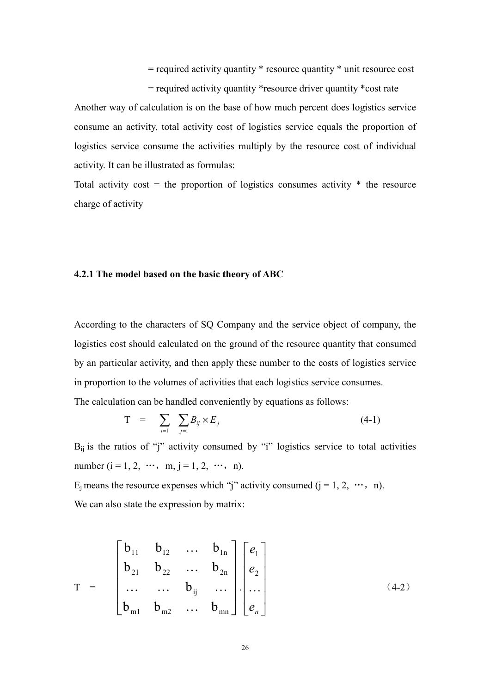= required activity quantity \* resource quantity \* unit resource cost

= required activity quantity \*resource driver quantity \*cost rate Another way of calculation is on the base of how much percent does logistics service consume an activity, total activity cost of logistics service equals the proportion of logistics service consume the activities multiply by the resource cost of individual activity. It can be illustrated as formulas:

Total activity cost = the proportion of logistics consumes activity  $*$  the resource charge of activity

#### 4.2.1 The model based on the basic theory of ABC

According to the characters of SQ Company and the service object of company, the logistics cost should calculated on the ground of the resource quantity that consumed by an particular activity, and then apply these number to the costs of logistics service in proportion to the volumes of activities that each logistics service consumes. The calculation can be handled conveniently by equations as follows:

$$
T = \sum_{i=1}^{\infty} \sum_{j=1}^{\infty} B_{ij} \times E_j \tag{4-1}
$$

 $B_{ii}$  is the ratios of "j" activity consumed by "j" logistics service to total activities number ( $i = 1, 2, \dots, m, j = 1, 2, \dots, n$ ).

E<sub>i</sub> means the resource expenses which "j" activity consumed  $(i = 1, 2, \dots, n)$ . We can also state the expression by matrix:

$$
T = \begin{bmatrix} b_{11} & b_{12} & \cdots & b_{1n} \\ b_{21} & b_{22} & \cdots & b_{2n} \\ \cdots & \cdots & b_{ij} & \cdots \\ b_{m1} & b_{m2} & \cdots & b_{mn} \end{bmatrix} \begin{bmatrix} e_1 \\ e_2 \\ \cdots \end{bmatrix}
$$
 (4-2)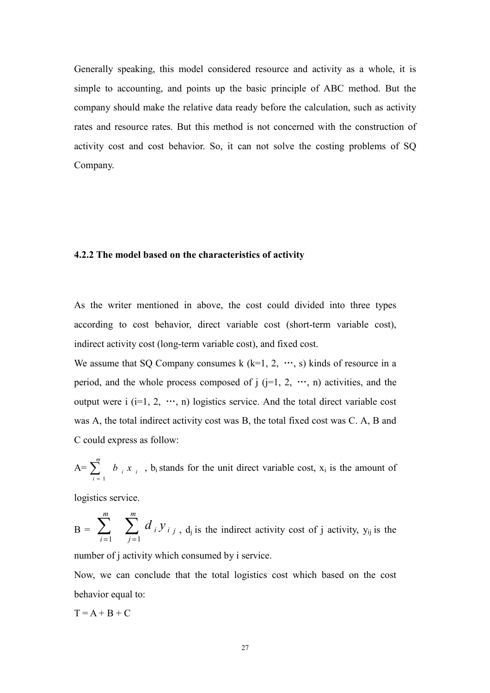Generally speaking, this model considered resource and activity as a whole, it is simple to accounting, and points up the basic principle of ABC method. But the company should make the relative data ready before the calculation, such as activity rates and resource rates. But this method is not concerned with the construction of activity cost and cost behavior. So, it can not solve the costing problems of SQ Company.

#### 4.2.2 The model based on the characteristics of activity

As the writer mentioned in above, the cost could divided into three types according to cost behavior, direct variable cost (short-term variable cost), indirect activity cost (long-term variable cost), and fixed cost.

We assume that SQ Company consumes k  $(k=1, 2, \dots, s)$  kinds of resource in a period, and the whole process composed of  $j$  ( $j=1, 2, \dots, n$ ) activities, and the output were i  $(i=1, 2, \dots, n)$  logistics service. And the total direct variable cost was A, the total indirect activity cost was B, the total fixed cost was C. A, B and C could express as follow:

$$
A = \sum_{i=1}^{m} b_i x_i
$$
, b<sub>i</sub> stands for the unit direct variable cost, x<sub>i</sub> is the amount of

logistics service.

$$
B = \sum_{i=1}^{m} \sum_{j=1}^{m} d_i y_{i,j}
$$
,  $d_j$  is the indirect activity cost of j activity,  $y_{ij}$  is the

number of j activity which consumed by i service.

Now, we can conclude that the total logistics cost which based on the cost behavior equal to:

$$
T = A + B + C
$$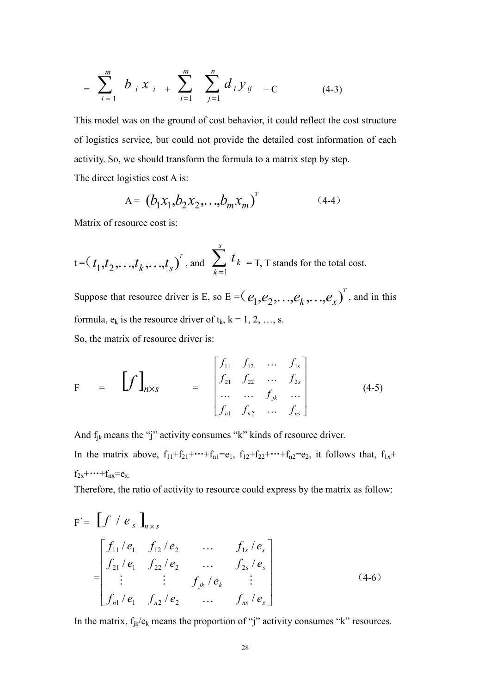$$
= \sum_{i=1}^{m} b_{i} x_{i} + \sum_{i=1}^{m} \sum_{j=1}^{n} d_{i} y_{ij} + C \qquad (4-3)
$$

This model was on the ground of cost behavior, it could reflect the cost structure of logistics service, but could not provide the detailed cost information of each activity. So, we should transform the formula to a matrix step by step.

The direct logistics cost A is:

$$
A = (b_1 x_1, b_2 x_2, \dots, b_m x_m)^T
$$
 (4-4)

Matrix of resource cost is:

$$
t = (t_1, t_2, \dots, t_k, \dots, t_s)^T
$$
, and  $\sum_{k=1}^s t_k = T$ , T stands for the total cost.

Suppose that resource driver is E, so E =  $(e_1, e_2, \ldots, e_k, \ldots, e_x)$ <sup>T</sup>, and in this formula,  $e_k$  is the resource driver of  $t_k$ ,  $k = 1, 2, ..., s$ . So, the matrix of resource driver is:

$$
F = \left[ f \right]_{n \times s} = \begin{bmatrix} f_{11} & f_{12} & \cdots & f_{1s} \\ f_{21} & f_{22} & \cdots & f_{2s} \\ \cdots & \cdots & f_{jk} & \cdots \\ f_{n1} & f_{n2} & \cdots & f_{ns} \end{bmatrix}
$$
(4-5)

And  $f_{ik}$  means the "j" activity consumes "k" kinds of resource driver.

In the matrix above,  $f_{11}+f_{21}+\cdots+f_{n1}=e_1$ ,  $f_{12}+f_{22}+\cdots+f_{n2}=e_2$ , it follows that,  $f_{1x}+f_{2x}+f_{2y}+f_{2y}+f_{2z}+f_{2z}+f_{2z}+f_{2z}+f_{2z}+f_{2z}+f_{2z}+f_{2z}+f_{2z}+f_{2z}+f_{2z}+f_{2z}+f_{2z}+f_{2z}+f_{2z}+f_{2z}+f_{2z}+f_{2z$  $f_{2x} + \cdots + f_{nx} = e_x$ .

Therefore, the ratio of activity to resource could express by the matrix as follow:

$$
F = \left[ f / e_s \right]_{n \times s}
$$
\n
$$
= \begin{bmatrix} f_{11} / e_1 & f_{12} / e_2 & \dots & f_{1s} / e_s \\ f_{21} / e_1 & f_{22} / e_2 & \dots & f_{2s} / e_s \\ \vdots & \vdots & f_{jk} / e_k & \vdots \\ f_{n1} / e_1 & f_{n2} / e_2 & \dots & f_{ns} / e_s \end{bmatrix}
$$
\n(4-6)

In the matrix,  $f_{ik}/e_k$  means the proportion of "j" activity consumes "k" resources.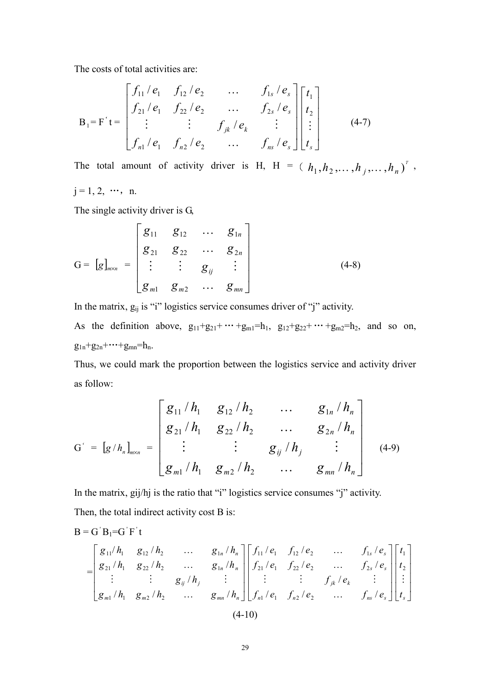The costs of total activities are:

$$
B_{1} = F^{'}t = \begin{bmatrix} f_{11} / e_{1} & f_{12} / e_{2} & \dots & f_{1s} / e_{s} \\ f_{21} / e_{1} & f_{22} / e_{2} & \dots & f_{2s} / e_{s} \\ \vdots & \vdots & \vdots & f_{jk} / e_{k} & \vdots \\ f_{n1} / e_{1} & f_{n2} / e_{2} & \dots & f_{ns} / e_{s} \end{bmatrix} \begin{bmatrix} t_{1} \\ t_{2} \\ \vdots \\ t_{s} \end{bmatrix}
$$
 (4-7)

The total amount of activity driver is H, H =  $(h_1, h_2, \ldots, h_j, \ldots, h_n)$ <sup>T</sup>,  $j = 1, 2, \dots, n.$ 

The single activity driver is G,

$$
G = [g]_{m \times n} = \begin{bmatrix} g_{11} & g_{12} & \cdots & g_{1n} \\ g_{21} & g_{22} & \cdots & g_{2n} \\ \vdots & \vdots & g_{ij} & \vdots \\ g_{m1} & g_{m2} & \cdots & g_{mn} \end{bmatrix}
$$
(4-8)

In the matrix, gij is "i" logistics service consumes driver of "j" activity. As the definition above,  $g_{11}+g_{21}+\cdots+g_{m1}=h_1$ ,  $g_{12}+g_{22}+\cdots+g_{m2}=h_2$ , and so on,

 $g_{1n}+g_{2n}+\cdots+g_{mn}=h_n$ .

Thus, we could mark the proportion between the logistics service and activity driver as follow:

$$
G' = [g/h_n]_{m \times n} = \begin{bmatrix} g_{11}/h_1 & g_{12}/h_2 & \dots & g_{1n}/h_n \\ g_{21}/h_1 & g_{22}/h_2 & \dots & g_{2n}/h_n \\ \vdots & \vdots & g_{ij}/h_j & \vdots \\ g_{m1}/h_1 & g_{m2}/h_2 & \dots & g_{mn}/h_n \end{bmatrix}
$$
 (4-9)

In the matrix, gij/hj is the ratio that "i" logistics service consumes "j" activity. Then, the total indirect activity cost B is:

B = G'B<sub>1</sub>=G'F't  
\n
$$
= \begin{bmatrix} g_{11}/h_1 & g_{12}/h_2 & \dots & g_{1n}/h_n \\ g_{21}/h_1 & g_{22}/h_2 & \dots & g_{1n}/h_n \\ \vdots & \vdots & g_{ij}/h_j & \vdots \\ g_{m1}/h_1 & g_{m2}/h_2 & \dots & g_{mn}/h_n \end{bmatrix} \begin{bmatrix} f_{11}/e_1 & f_{12}/e_2 & \dots & f_{1s}/e_s \\ f_{21}/e_1 & f_{22}/e_2 & \dots & f_{2s}/e_s \\ \vdots & \vdots & \vdots & f_{jk}/e_k & \vdots \\ f_{n1}/e_1 & f_{n2}/e_2 & \dots & f_{ns}/e_s \end{bmatrix} \begin{bmatrix} t_1 \\ t_2 \\ t_2 \\ \vdots \\ t_s \end{bmatrix}
$$
\n(4-10)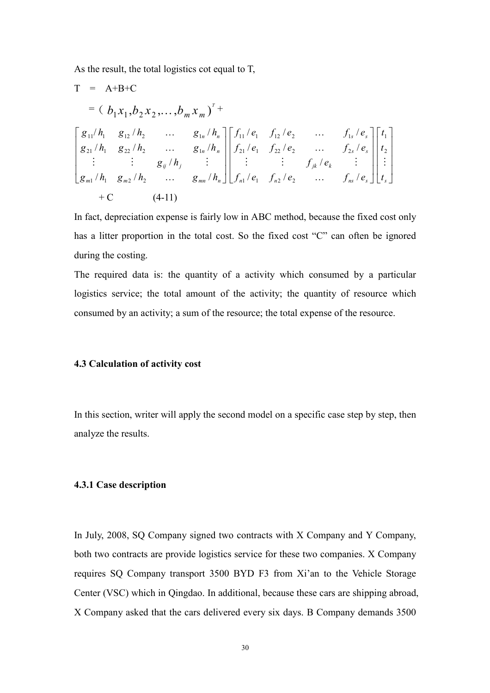As the result, the total logistics cot equal to T,

T = A+B+C  
\n= 
$$
(b_1x_1, b_2x_2,..., b_mx_m)^{T}
$$
  
\n $\begin{bmatrix}\ng_{11}/h_1 & g_{12}/h_2 & ... & g_{1n}/h_n \\
g_{21}/h_1 & g_{22}/h_2 & ... & g_{1n}/h_n \\
\vdots & \vdots & g_{ij}/h_j & \vdots \\
g_{m1}/h_1 & g_{m2}/h_2 & ... & g_{mn}/h_n\n\end{bmatrix}\n\begin{bmatrix}\nf_{11}/e_1 & f_{12}/e_2 & ... & f_{1s}/e_s \\
f_{21}/e_1 & f_{22}/e_2 & ... & f_{2s}/e_s \\
\vdots & \vdots & \vdots & f_{jk}/e_k & \vdots \\
f_{n1}/e_1 & f_{n2}/e_2 & ... & f_{ns}/e_s\n\end{bmatrix}\n\begin{bmatrix}\nt_1 \\
t_2 \\
t_3 \\
\vdots \\
t_s\n\end{bmatrix}$   
\n+ C (4-11)

In fact, depreciation expense is fairly low in ABC method, because the fixed cost only has a litter proportion in the total cost. So the fixed cost "C" can often be ignored during the costing.

The required data is: the quantity of a activity which consumed by a particular logistics service; the total amount of the activity; the quantity of resource which consumed by an activity; a sum of the resource; the total expense of the resource.

#### 4.3 Calculation of activity cost

In this section, writer will apply the second model on a specific case step by step, then analyze the results.

#### 4.3.1 Case description

In July, 2008, SQ Company signed two contracts with X Company and Y Company, both two contracts are provide logistics service for these two companies. X Company requires SQ Company transport 3500 BYD F3 from Xi'an to the Vehicle Storage Center (VSC) which in Qingdao. In additional, because these cars are shipping abroad, X Company asked that the cars delivered every six days. B Company demands 3500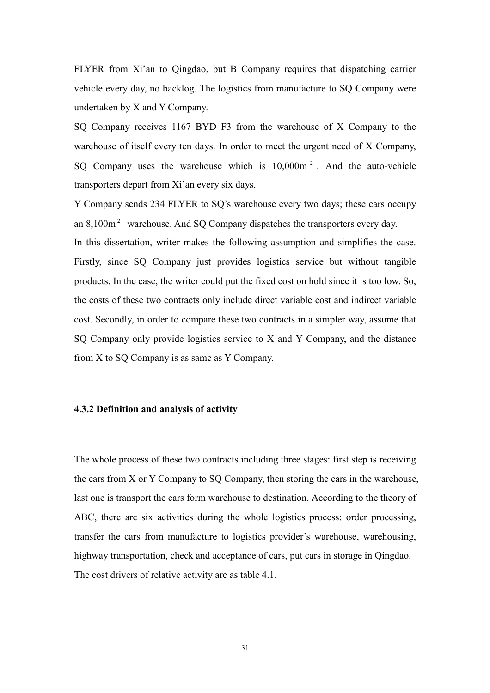FLYER from Xi'an to Qingdao, but B Company requires that dispatching carrier vehicle every day, no backlog. The logistics from manufacture to SQ Company were undertaken by X and Y Company.

SQ Company receives 1167 BYD F3 from the warehouse of X Company to the warehouse of itself every ten days. In order to meet the urgent need of X Company, SQ Company uses the warehouse which is  $10,000$ m<sup>2</sup>. And the auto-vehicle transporters depart from Xi'an every six days.

Y Company sends 234 FLYER to SQ's warehouse every two days; these cars occupy an  $8,100\,\text{m}^2$  warehouse. And SQ Company dispatches the transporters every day. In this dissertation, writer makes the following assumption and simplifies the case. Firstly, since SQ Company just provides logistics service but without tangible products. In the case, the writer could put the fixed cost on hold since it is too low. So, the costs of these two contracts only include direct variable cost and indirect variable

cost. Secondly, in order to compare these two contracts in a simpler way, assume that SQ Company only provide logistics service to X and Y Company, and the distance from X to SQ Company is as same as Y Company.

#### 4.3.2 Definition and analysis of activity

The whole process of these two contracts including three stages: first step is receiving the cars from X or Y Company to SQ Company, then storing the cars in the warehouse, last one is transport the cars form warehouse to destination. According to the theory of ABC, there are six activities during the whole logistics process: order processing, transfer the cars from manufacture to logistics provider's warehouse, warehousing, highway transportation, check and acceptance of cars, put cars in storage in Qingdao. The cost drivers of relative activity are as table 4.1.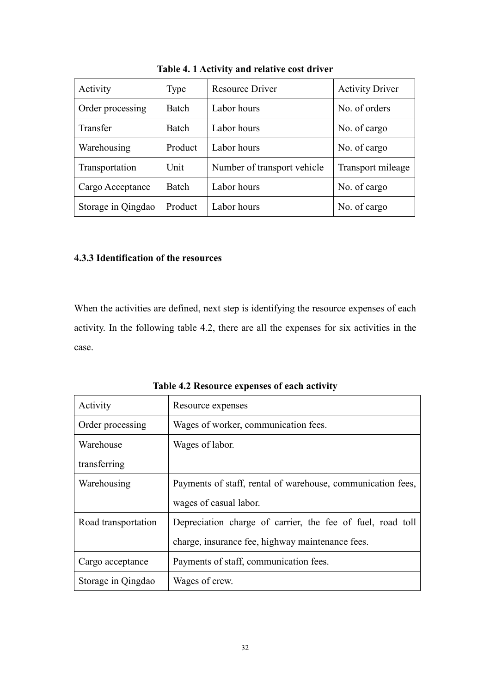| Activity           | Type    | <b>Resource Driver</b>      | <b>Activity Driver</b> |
|--------------------|---------|-----------------------------|------------------------|
| Order processing   | Batch   | Labor hours                 | No. of orders          |
| Transfer           | Batch   | Labor hours                 | No. of cargo           |
| Warehousing        | Product | Labor hours                 | No. of cargo           |
| Transportation     | Unit    | Number of transport vehicle | Transport mileage      |
| Cargo Acceptance   | Batch   | Labor hours                 | No. of cargo           |
| Storage in Qingdao | Product | Labor hours                 | No. of cargo           |

Table 4. 1 Activity and relative cost driver

# 4.3.3 Identification of the resources

When the activities are defined, next step is identifying the resource expenses of each activity. In the following table 4.2, there are all the expenses for six activities in the case.

Table 4.2 Resource expenses of each activity

| Activity            | Resource expenses                                           |
|---------------------|-------------------------------------------------------------|
| Order processing    | Wages of worker, communication fees.                        |
| Warehouse           | Wages of labor.                                             |
| transferring        |                                                             |
| Warehousing         | Payments of staff, rental of warehouse, communication fees, |
|                     | wages of casual labor.                                      |
| Road transportation | Depreciation charge of carrier, the fee of fuel, road toll  |
|                     | charge, insurance fee, highway maintenance fees.            |
| Cargo acceptance    | Payments of staff, communication fees.                      |
| Storage in Qingdao  | Wages of crew.                                              |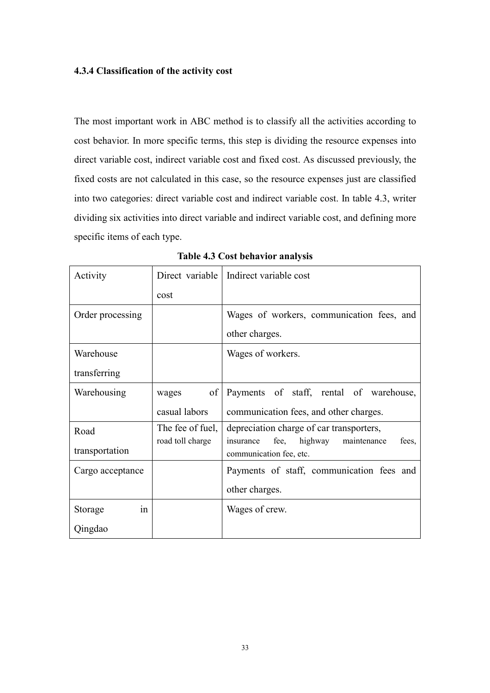## 4.3.4 Classification of the activity cost

The most important work in ABC method is to classify all the activities according to cost behavior. In more specific terms, this step is dividing the resource expenses into direct variable cost, indirect variable cost and fixed cost. As discussed previously, the fixed costs are not calculated in this case, so the resource expenses just are classified into two categories: direct variable cost and indirect variable cost. In table 4.3, writer dividing six activities into direct variable and indirect variable cost, and defining more specific items of each type.

| Activity         |                  | Direct variable   Indirect variable cost                                        |  |  |
|------------------|------------------|---------------------------------------------------------------------------------|--|--|
|                  | cost             |                                                                                 |  |  |
| Order processing |                  | Wages of workers, communication fees, and                                       |  |  |
|                  |                  | other charges.                                                                  |  |  |
| Warehouse        |                  | Wages of workers.                                                               |  |  |
| transferring     |                  |                                                                                 |  |  |
| Warehousing      | of<br>wages      | Payments of staff, rental of warehouse,                                         |  |  |
|                  | casual labors    | communication fees, and other charges.                                          |  |  |
| Road             | The fee of fuel, | depreciation charge of car transporters,                                        |  |  |
| transportation   | road toll charge | fee,<br>highway<br>maintenance<br>insurance<br>fees,<br>communication fee, etc. |  |  |
| Cargo acceptance |                  |                                                                                 |  |  |
|                  |                  | Payments of staff, communication fees and                                       |  |  |
|                  |                  | other charges.                                                                  |  |  |
| Storage<br>in    |                  | Wages of crew.                                                                  |  |  |

Table 4.3 Cost behavior analysis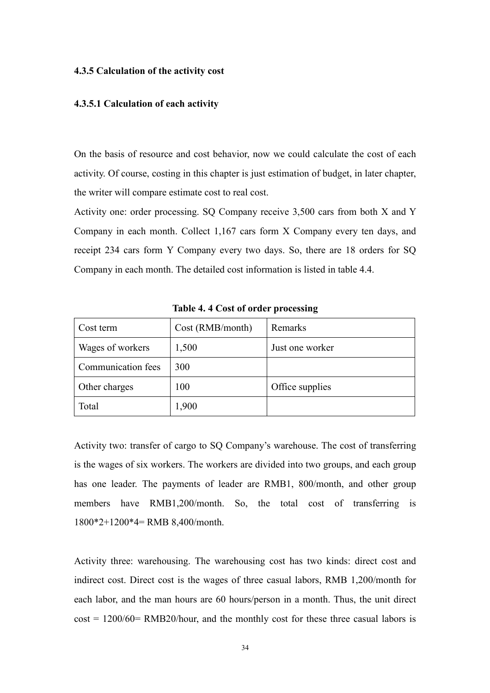#### 4.3.5 Calculation of the activity cost

## 4.3.5.1 Calculation of each activity

On the basis of resource and cost behavior, now we could calculate the cost of each activity. Of course, costing in this chapter is just estimation of budget, in later chapter, the writer will compare estimate cost to real cost.

Activity one: order processing. SQ Company receive 3,500 cars from both X and Y Company in each month. Collect 1,167 cars form X Company every ten days, and receipt 234 cars form Y Company every two days. So, there are 18 orders for SQ Company in each month. The detailed cost information is listed in table 4.4.

| Cost term          | Cost (RMB/month) | Remarks         |
|--------------------|------------------|-----------------|
| Wages of workers   | 1,500            | Just one worker |
| Communication fees | 300              |                 |
| Other charges      | 100              | Office supplies |
| Total              | 1,900            |                 |

Table 4. 4 Cost of order processing

Activity two: transfer of cargo to SQ Company's warehouse. The cost of transferring is the wages of six workers. The workers are divided into two groups, and each group has one leader. The payments of leader are RMB1, 800/month, and other group members have RMB1,200/month. So, the total cost of transferring is 1800\*2+1200\*4= RMB 8,400/month.

Activity three: warehousing. The warehousing cost has two kinds: direct cost and indirect cost. Direct cost is the wages of three casual labors, RMB 1,200/month for each labor, and the man hours are 60 hours/person in a month. Thus, the unit direct  $cost = 1200/60 = RMB20/h$  our, and the monthly cost for these three casual labors is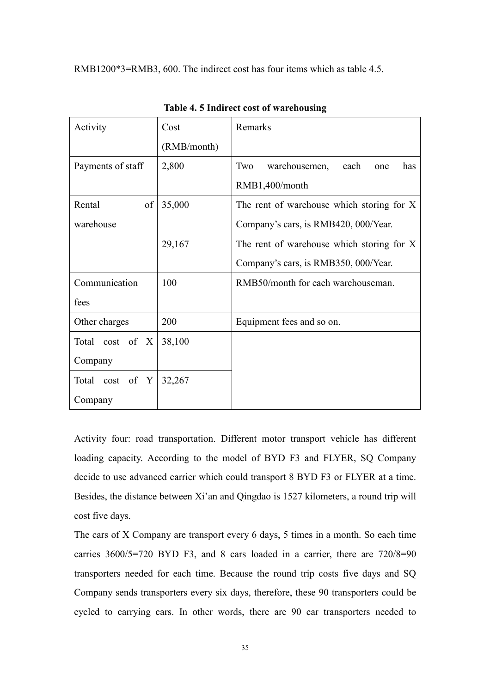RMB1200\*3=RMB3, 600. The indirect cost has four items which as table 4.5.

| Activity          | Cost        | Remarks                                    |  |  |
|-------------------|-------------|--------------------------------------------|--|--|
|                   | (RMB/month) |                                            |  |  |
| Payments of staff | 2,800       | Two<br>warehousemen,<br>each<br>has<br>one |  |  |
|                   |             | RMB1,400/month                             |  |  |
| of<br>Rental      | 35,000      | The rent of warehouse which storing for X  |  |  |
| warehouse         |             | Company's cars, is RMB420, 000/Year.       |  |  |
|                   | 29,167      | The rent of warehouse which storing for X  |  |  |
|                   |             | Company's cars, is RMB350, 000/Year.       |  |  |
| Communication     | 100         | RMB50/month for each warehouseman.         |  |  |
| fees              |             |                                            |  |  |
| Other charges     | 200         | Equipment fees and so on.                  |  |  |
| Total cost of X   | 38,100      |                                            |  |  |
| Company           |             |                                            |  |  |
| Total cost of Y   | 32,267      |                                            |  |  |
| Company           |             |                                            |  |  |

Table 4. 5 Indirect cost of warehousing

Activity four: road transportation. Different motor transport vehicle has different loading capacity. According to the model of BYD F3 and FLYER, SQ Company decide to use advanced carrier which could transport 8 BYD F3 or FLYER at a time. Besides, the distance between Xi'an and Qingdao is 1527 kilometers, a round trip will cost five days.

The cars of X Company are transport every 6 days, 5 times in a month. So each time carries 3600/5=720 BYD F3, and 8 cars loaded in a carrier, there are 720/8=90 transporters needed for each time. Because the round trip costs five days and SQ Company sends transporters every six days, therefore, these 90 transporters could be cycled to carrying cars. In other words, there are 90 car transporters needed to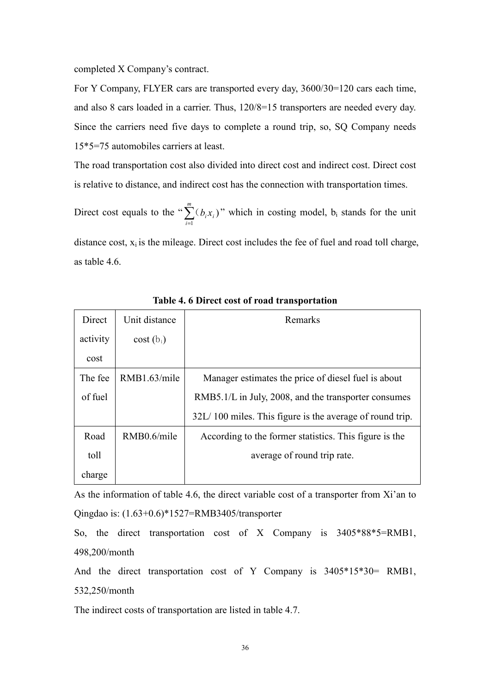completed X Company's contract.

For Y Company, FLYER cars are transported every day, 3600/30=120 cars each time, and also 8 cars loaded in a carrier. Thus, 120/8=15 transporters are needed every day. Since the carriers need five days to complete a round trip, so, SQ Company needs 15\*5=75 automobiles carriers at least.

The road transportation cost also divided into direct cost and indirect cost. Direct cost is relative to distance, and indirect cost has the connection with transportation times.

Direct cost equals to the " $\sum_{n=1}^{\infty}$ = m i  $b_i x_i$ 1  $(C_i(x_i))^n$  which in costing model, b<sub>i</sub> stands for the unit distance cost,  $x_i$  is the mileage. Direct cost includes the fee of fuel and road toll charge, as table 4.6.

| Direct   | Unit distance | Remarks                                                  |
|----------|---------------|----------------------------------------------------------|
| activity | $cost(b_i)$   |                                                          |
| cost     |               |                                                          |
| The fee  | RMB1.63/mile  | Manager estimates the price of diesel fuel is about      |
| of fuel  |               | RMB5.1/L in July, 2008, and the transporter consumes     |
|          |               | 32L/100 miles. This figure is the average of round trip. |
| Road     | RMB0.6/mile   | According to the former statistics. This figure is the   |
| toll     |               | average of round trip rate.                              |
| charge   |               |                                                          |

Table 4. 6 Direct cost of road transportation

As the information of table 4.6, the direct variable cost of a transporter from Xi'an to Qingdao is: (1.63+0.6)\*1527=RMB3405/transporter

So, the direct transportation cost of X Company is 3405\*88\*5=RMB1, 498,200/month

And the direct transportation cost of Y Company is 3405\*15\*30= RMB1, 532,250/month

The indirect costs of transportation are listed in table 4.7.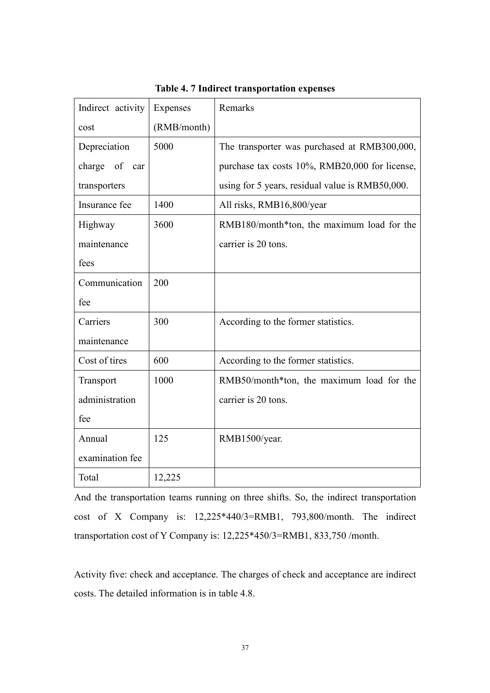| Indirect activity   | Expenses    | Remarks                                         |
|---------------------|-------------|-------------------------------------------------|
| cost                | (RMB/month) |                                                 |
| Depreciation        | 5000        | The transporter was purchased at RMB300,000,    |
| of<br>charge<br>car |             | purchase tax costs 10%, RMB20,000 for license,  |
| transporters        |             | using for 5 years, residual value is RMB50,000. |
| Insurance fee       | 1400        | All risks, RMB16,800/year                       |
| Highway             | 3600        | RMB180/month*ton, the maximum load for the      |
| maintenance         |             | carrier is 20 tons.                             |
| fees                |             |                                                 |
| Communication       | 200         |                                                 |
| fee                 |             |                                                 |
| Carriers            | 300         | According to the former statistics.             |
| maintenance         |             |                                                 |
| Cost of tires       | 600         | According to the former statistics.             |
| Transport           | 1000        | RMB50/month*ton, the maximum load for the       |
| administration      |             | carrier is 20 tons.                             |
| fee                 |             |                                                 |
| Annual              | 125         | RMB1500/year.                                   |
| examination fee     |             |                                                 |
| Total               | 12,225      |                                                 |

Table 4. 7 Indirect transportation expenses

And the transportation teams running on three shifts. So, the indirect transportation cost of X Company is: 12,225\*440/3=RMB1, 793,800/month. The indirect transportation cost of Y Company is: 12,225\*450/3=RMB1, 833,750 /month.

Activity five: check and acceptance. The charges of check and acceptance are indirect costs. The detailed information is in table 4.8.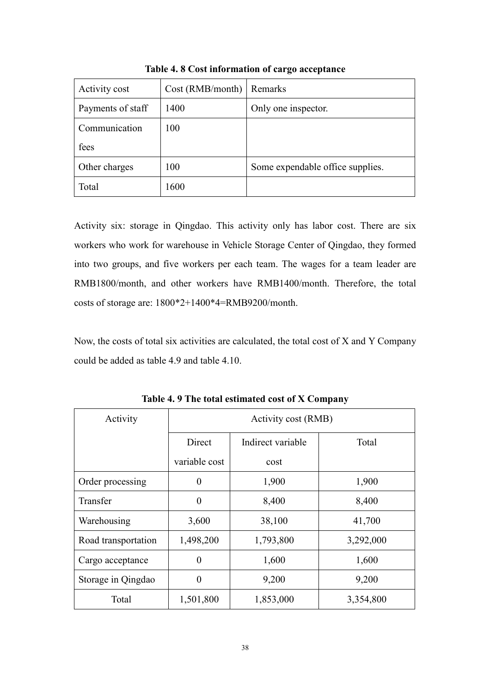| Activity cost     | Cost (RMB/month) | Remarks                          |
|-------------------|------------------|----------------------------------|
| Payments of staff | 1400             | Only one inspector.              |
| Communication     | 100              |                                  |
| fees              |                  |                                  |
| Other charges     | 100              | Some expendable office supplies. |
| Total             | 1600             |                                  |

Table 4. 8 Cost information of cargo acceptance

Activity six: storage in Qingdao. This activity only has labor cost. There are six workers who work for warehouse in Vehicle Storage Center of Qingdao, they formed into two groups, and five workers per each team. The wages for a team leader are RMB1800/month, and other workers have RMB1400/month. Therefore, the total costs of storage are: 1800\*2+1400\*4=RMB9200/month.

Now, the costs of total six activities are calculated, the total cost of X and Y Company could be added as table 4.9 and table 4.10.

| Activity            | Activity cost (RMB)         |           |           |  |
|---------------------|-----------------------------|-----------|-----------|--|
|                     | Direct<br>Indirect variable |           | Total     |  |
|                     | variable cost               | cost      |           |  |
| Order processing    | $\overline{0}$              | 1,900     | 1,900     |  |
| Transfer            | $\theta$                    | 8,400     | 8,400     |  |
| Warehousing         | 3,600                       | 38,100    | 41,700    |  |
| Road transportation | 1,498,200                   | 1,793,800 | 3,292,000 |  |
| Cargo acceptance    | 0                           | 1,600     | 1,600     |  |
| Storage in Qingdao  | 0                           | 9,200     | 9,200     |  |
| Total               | 1,501,800                   | 1,853,000 | 3,354,800 |  |

Table 4. 9 The total estimated cost of X Company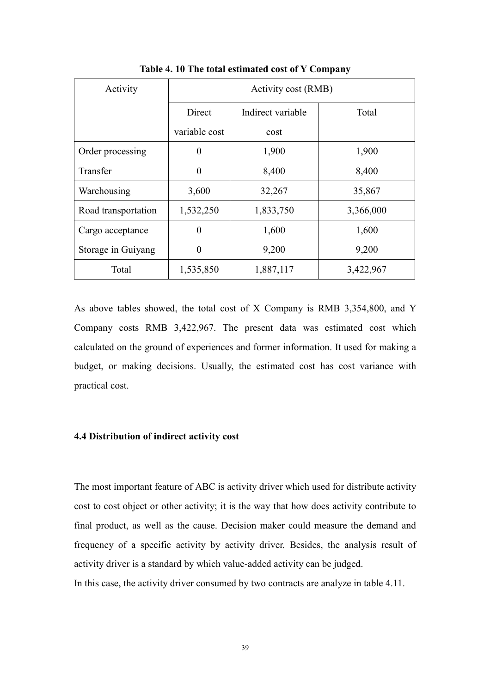| Activity            | Activity cost (RMB)         |           |           |  |
|---------------------|-----------------------------|-----------|-----------|--|
|                     | Direct<br>Indirect variable |           | Total     |  |
|                     | variable cost               | cost      |           |  |
| Order processing    | $\theta$                    | 1,900     | 1,900     |  |
| Transfer            | 0                           | 8,400     | 8,400     |  |
| Warehousing         | 3,600                       | 32,267    | 35,867    |  |
| Road transportation | 1,532,250                   | 1,833,750 | 3,366,000 |  |
| Cargo acceptance    | $\theta$                    | 1,600     | 1,600     |  |
| Storage in Guiyang  | $\theta$                    | 9,200     | 9,200     |  |
| Total               | 1,535,850                   | 1,887,117 | 3,422,967 |  |

Table 4. 10 The total estimated cost of Y Company

As above tables showed, the total cost of X Company is RMB 3,354,800, and Y Company costs RMB 3,422,967. The present data was estimated cost which calculated on the ground of experiences and former information. It used for making a budget, or making decisions. Usually, the estimated cost has cost variance with practical cost.

# 4.4 Distribution of indirect activity cost

The most important feature of ABC is activity driver which used for distribute activity cost to cost object or other activity; it is the way that how does activity contribute to final product, as well as the cause. Decision maker could measure the demand and frequency of a specific activity by activity driver. Besides, the analysis result of activity driver is a standard by which value-added activity can be judged.

In this case, the activity driver consumed by two contracts are analyze in table 4.11.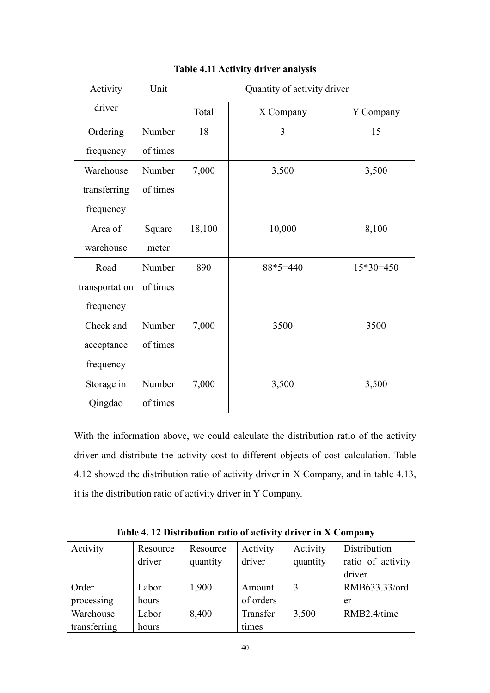| Activity       | Unit     | Quantity of activity driver |            |             |  |
|----------------|----------|-----------------------------|------------|-------------|--|
| driver         |          | Total<br>X Company          |            | Y Company   |  |
| Ordering       | Number   | 18                          | 3          | 15          |  |
| frequency      | of times |                             |            |             |  |
| Warehouse      | Number   | 7,000                       | 3,500      | 3,500       |  |
| transferring   | of times |                             |            |             |  |
| frequency      |          |                             |            |             |  |
| Area of        | Square   | 18,100                      | 10,000     | 8,100       |  |
| warehouse      | meter    |                             |            |             |  |
| Road           | Number   | 890                         | $88*5=440$ | $15*30=450$ |  |
| transportation | of times |                             |            |             |  |
| frequency      |          |                             |            |             |  |
| Check and      | Number   | 7,000                       | 3500       | 3500        |  |
| acceptance     | of times |                             |            |             |  |
| frequency      |          |                             |            |             |  |
| Storage in     | Number   | 7,000                       | 3,500      | 3,500       |  |
| Qingdao        | of times |                             |            |             |  |

Table 4.11 Activity driver analysis

With the information above, we could calculate the distribution ratio of the activity driver and distribute the activity cost to different objects of cost calculation. Table 4.12 showed the distribution ratio of activity driver in X Company, and in table 4.13, it is the distribution ratio of activity driver in Y Company.

| Activity     | Resource | Resource | Activity  | Activity | Distribution      |
|--------------|----------|----------|-----------|----------|-------------------|
|              | driver   | quantity | driver    | quantity | ratio of activity |
|              |          |          |           |          | driver            |
| Order        | Labor    | 1,900    | Amount    |          | RMB633.33/ord     |
| processing   | hours    |          | of orders |          | er                |
| Warehouse    | Labor    | 8,400    | Transfer  | 3,500    | RMB2.4/time       |
| transferring | hours    |          | times     |          |                   |

Table 4. 12 Distribution ratio of activity driver in X Company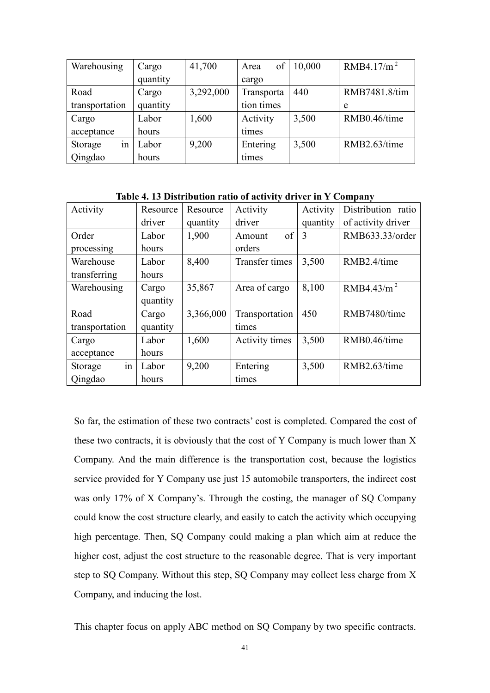| Warehousing    | Cargo    | 41,700    | of<br>Area | 10,000 | RMB4.17/m <sup>2</sup> |
|----------------|----------|-----------|------------|--------|------------------------|
|                | quantity |           | cargo      |        |                        |
| Road           | Cargo    | 3,292,000 | Transporta | 440    | RMB7481.8/tim          |
| transportation | quantity |           | tion times |        | e                      |
| Cargo          | Labor    | 1,600     | Activity   | 3,500  | RMB0.46/time           |
| acceptance     | hours    |           | times      |        |                        |
| Storage<br>1n  | Labor    | 9,200     | Entering   | 3,500  | RMB2.63/time           |
| Qingdao        | hours    |           | times      |        |                        |

Table 4. 13 Distribution ratio of activity driver in Y Company

| Activity       | Resource | Resource  | Activity           | Activity | Distribution ratio |
|----------------|----------|-----------|--------------------|----------|--------------------|
|                | driver   | quantity  | driver             | quantity | of activity driver |
| Order          | Labor    | 1,900     | $\sigma$<br>Amount | 3        | RMB633.33/order    |
| processing     | hours    |           | orders             |          |                    |
| Warehouse      | Labor    | 8,400     | Transfer times     | 3,500    | RMB2.4/time        |
| transferring   | hours    |           |                    |          |                    |
| Warehousing    | Cargo    | 35,867    | Area of cargo      | 8,100    | RMB4.43/ $m2$      |
|                | quantity |           |                    |          |                    |
| Road           | Cargo    | 3,366,000 | Transportation     | 450      | RMB7480/time       |
| transportation | quantity |           | times              |          |                    |
| Cargo          | Labor    | 1,600     | Activity times     | 3,500    | RMB0.46/time       |
| acceptance     | hours    |           |                    |          |                    |
| in<br>Storage  | Labor    | 9,200     | Entering           | 3,500    | RMB2.63/time       |
| Qingdao        | hours    |           | times              |          |                    |

So far, the estimation of these two contracts' cost is completed. Compared the cost of these two contracts, it is obviously that the cost of Y Company is much lower than X Company. And the main difference is the transportation cost, because the logistics service provided for Y Company use just 15 automobile transporters, the indirect cost was only 17% of X Company's. Through the costing, the manager of SQ Company could know the cost structure clearly, and easily to catch the activity which occupying high percentage. Then, SQ Company could making a plan which aim at reduce the higher cost, adjust the cost structure to the reasonable degree. That is very important step to SQ Company. Without this step, SQ Company may collect less charge from X Company, and inducing the lost.

This chapter focus on apply ABC method on SQ Company by two specific contracts.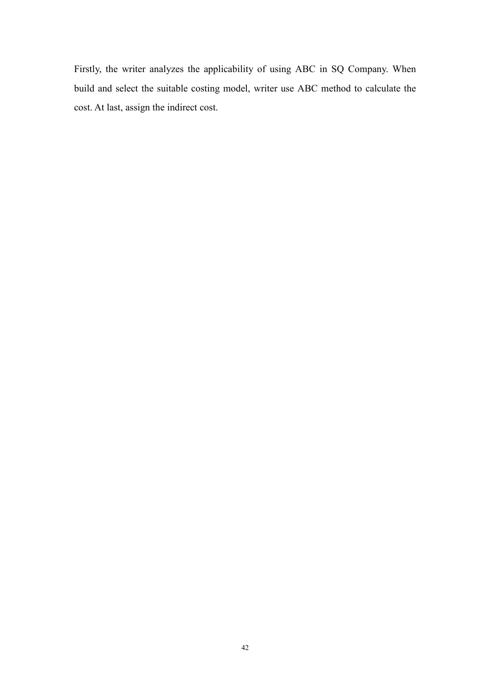Firstly, the writer analyzes the applicability of using ABC in SQ Company. When build and select the suitable costing model, writer use ABC method to calculate the cost. At last, assign the indirect cost.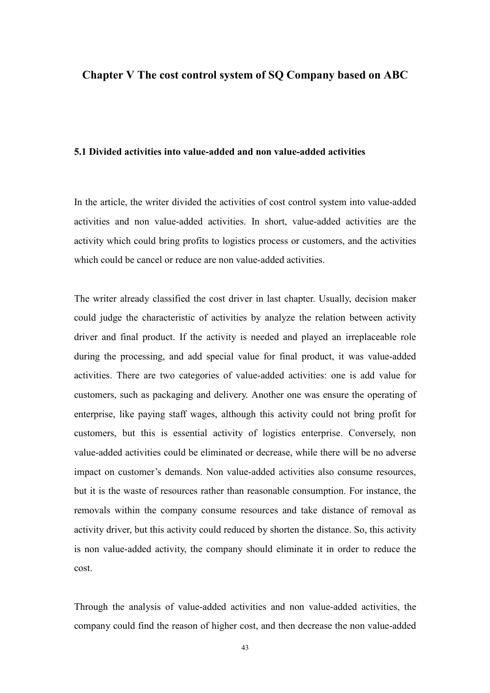## Chapter V The cost control system of SQ Company based on ABC

## 5.1 Divided activities into value-added and non value-added activities

In the article, the writer divided the activities of cost control system into value-added activities and non value-added activities. In short, value-added activities are the activity which could bring profits to logistics process or customers, and the activities which could be cancel or reduce are non value-added activities.

The writer already classified the cost driver in last chapter. Usually, decision maker could judge the characteristic of activities by analyze the relation between activity driver and final product. If the activity is needed and played an irreplaceable role during the processing, and add special value for final product, it was value-added activities. There are two categories of value-added activities: one is add value for customers, such as packaging and delivery. Another one was ensure the operating of enterprise, like paying staff wages, although this activity could not bring profit for customers, but this is essential activity of logistics enterprise. Conversely, non value-added activities could be eliminated or decrease, while there will be no adverse impact on customer's demands. Non value-added activities also consume resources, but it is the waste of resources rather than reasonable consumption. For instance, the removals within the company consume resources and take distance of removal as activity driver, but this activity could reduced by shorten the distance. So, this activity is non value-added activity, the company should eliminate it in order to reduce the cost.

Through the analysis of value-added activities and non value-added activities, the company could find the reason of higher cost, and then decrease the non value-added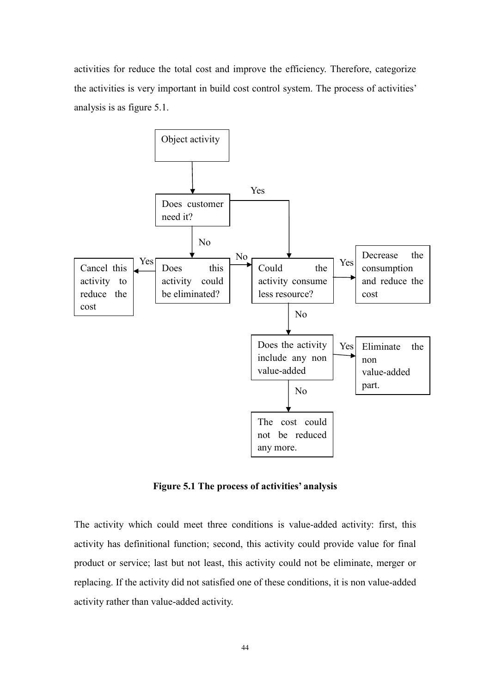activities for reduce the total cost and improve the efficiency. Therefore, categorize the activities is very important in build cost control system. The process of activities' analysis is as figure 5.1.



Figure 5.1 The process of activities' analysis

The activity which could meet three conditions is value-added activity: first, this activity has definitional function; second, this activity could provide value for final product or service; last but not least, this activity could not be eliminate, merger or replacing. If the activity did not satisfied one of these conditions, it is non value-added activity rather than value-added activity.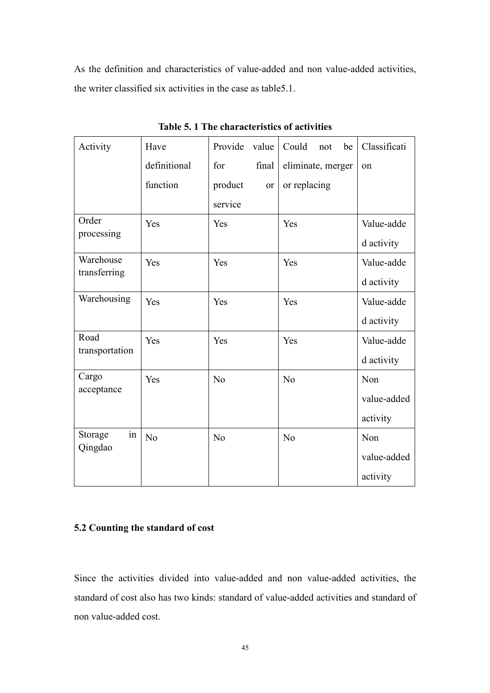As the definition and characteristics of value-added and non value-added activities, the writer classified six activities in the case as table5.1.

| Activity       | Have           | Provide<br>value         | Could<br>be<br>not | Classificati |
|----------------|----------------|--------------------------|--------------------|--------------|
|                | definitional   | final<br>for             | eliminate, merger  | on           |
|                | function       | product<br><sub>or</sub> | or replacing       |              |
|                |                | service                  |                    |              |
| Order          | Yes            | Yes                      | Yes                | Value-adde   |
| processing     |                |                          |                    | d activity   |
| Warehouse      | Yes            | Yes                      | Yes                | Value-adde   |
| transferring   |                |                          |                    | d activity   |
| Warehousing    | Yes            | Yes                      | Yes                | Value-adde   |
|                |                |                          |                    | d activity   |
| Road           | Yes            | Yes                      | Yes                | Value-adde   |
| transportation |                |                          |                    | d activity   |
| Cargo          | Yes            | N <sub>o</sub>           | N <sub>o</sub>     | Non          |
| acceptance     |                |                          |                    | value-added  |
|                |                |                          |                    | activity     |
| Storage<br>1n  | N <sub>o</sub> | N <sub>0</sub>           | No                 | Non          |
| Qingdao        |                |                          |                    | value-added  |
|                |                |                          |                    | activity     |

Table 5. 1 The characteristics of activities

# 5.2 Counting the standard of cost

Since the activities divided into value-added and non value-added activities, the standard of cost also has two kinds: standard of value-added activities and standard of non value-added cost.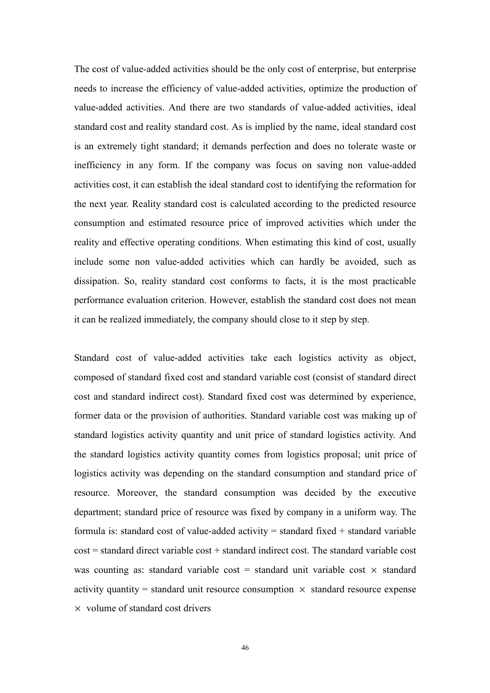The cost of value-added activities should be the only cost of enterprise, but enterprise needs to increase the efficiency of value-added activities, optimize the production of value-added activities. And there are two standards of value-added activities, ideal standard cost and reality standard cost. As is implied by the name, ideal standard cost is an extremely tight standard; it demands perfection and does no tolerate waste or inefficiency in any form. If the company was focus on saving non value-added activities cost, it can establish the ideal standard cost to identifying the reformation for the next year. Reality standard cost is calculated according to the predicted resource consumption and estimated resource price of improved activities which under the reality and effective operating conditions. When estimating this kind of cost, usually include some non value-added activities which can hardly be avoided, such as dissipation. So, reality standard cost conforms to facts, it is the most practicable performance evaluation criterion. However, establish the standard cost does not mean it can be realized immediately, the company should close to it step by step.

Standard cost of value-added activities take each logistics activity as object, composed of standard fixed cost and standard variable cost (consist of standard direct cost and standard indirect cost). Standard fixed cost was determined by experience, former data or the provision of authorities. Standard variable cost was making up of standard logistics activity quantity and unit price of standard logistics activity. And the standard logistics activity quantity comes from logistics proposal; unit price of logistics activity was depending on the standard consumption and standard price of resource. Moreover, the standard consumption was decided by the executive department; standard price of resource was fixed by company in a uniform way. The formula is: standard cost of value-added activity  $=$  standard fixed  $+$  standard variable cost = standard direct variable cost + standard indirect cost. The standard variable cost was counting as: standard variable cost = standard unit variable cost  $\times$  standard activity quantity = standard unit resource consumption  $\times$  standard resource expense  $\times$  volume of standard cost drivers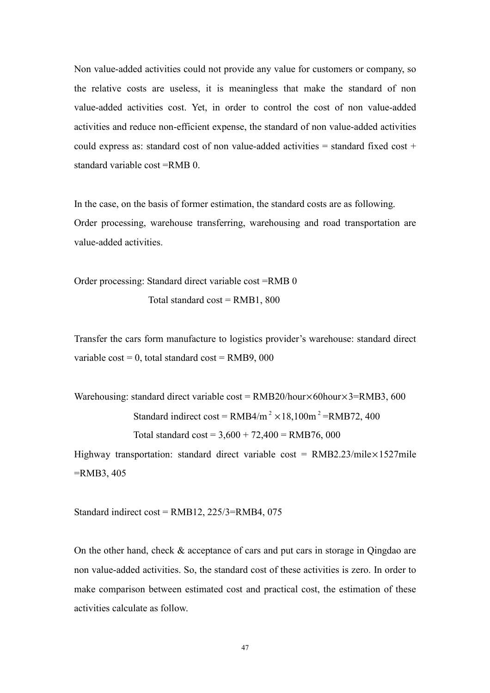Non value-added activities could not provide any value for customers or company, so the relative costs are useless, it is meaningless that make the standard of non value-added activities cost. Yet, in order to control the cost of non value-added activities and reduce non-efficient expense, the standard of non value-added activities could express as: standard cost of non value-added activities = standard fixed cost + standard variable cost =RMB 0.

In the case, on the basis of former estimation, the standard costs are as following. Order processing, warehouse transferring, warehousing and road transportation are value-added activities.

Order processing: Standard direct variable cost =RMB 0 Total standard  $cost = \text{RMB1}, 800$ 

Transfer the cars form manufacture to logistics provider's warehouse: standard direct variable  $cost = 0$ , total standard  $cost = RMB9$ , 000

Warehousing: standard direct variable cost =  $RMB20/hour \times 60hour \times 3 = RMB3$ , 600 Standard indirect cost =  $RMB4/m^2 \times 18,100m^2 = RMB72,400$ Total standard  $\cos t = 3{,}600 + 72{,}400 = \text{RMB76},\,000$ 

Highway transportation: standard direct variable cost =  $RMB2.23/mile \times 1527$  mile =RMB3, 405

Standard indirect cost =  $RMB12$ ,  $225/3 = RMB4$ , 075

On the other hand, check & acceptance of cars and put cars in storage in Qingdao are non value-added activities. So, the standard cost of these activities is zero. In order to make comparison between estimated cost and practical cost, the estimation of these activities calculate as follow.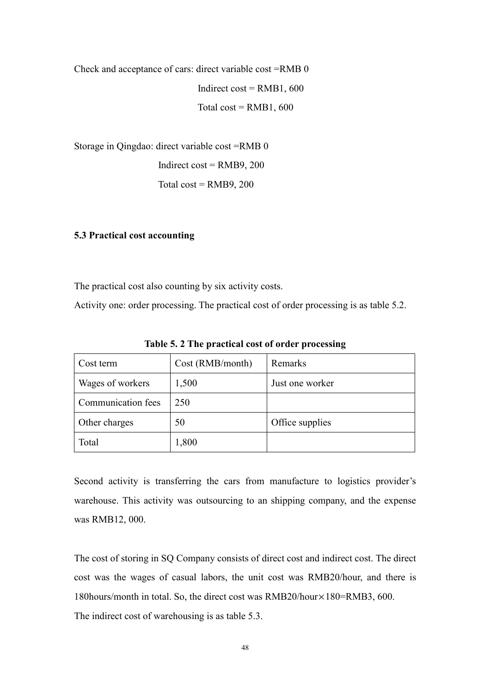Check and acceptance of cars: direct variable cost =RMB 0 Indirect cost =  $RMB1, 600$ Total  $cost = RMB1, 600$ 

Storage in Qingdao: direct variable cost =RMB 0 Indirect cost =  $RMB9$ , 200 Total  $cost = RMB9, 200$ 

# 5.3 Practical cost accounting

The practical cost also counting by six activity costs.

Activity one: order processing. The practical cost of order processing is as table 5.2.

| Cost term          | Cost (RMB/month) | Remarks         |
|--------------------|------------------|-----------------|
| Wages of workers   | 1,500            | Just one worker |
| Communication fees | 250              |                 |
| Other charges      | 50               | Office supplies |
| Total              | 1,800            |                 |

Table 5. 2 The practical cost of order processing

Second activity is transferring the cars from manufacture to logistics provider's warehouse. This activity was outsourcing to an shipping company, and the expense was RMB12, 000.

The cost of storing in SQ Company consists of direct cost and indirect cost. The direct cost was the wages of casual labors, the unit cost was RMB20/hour, and there is 180hours/month in total. So, the direct cost was RMB20/hour×180=RMB3, 600. The indirect cost of warehousing is as table 5.3.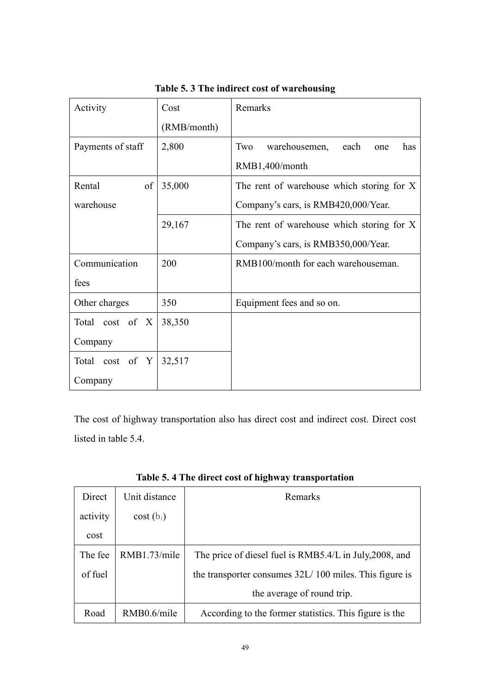| Activity          | Cost        | Remarks                                    |  |
|-------------------|-------------|--------------------------------------------|--|
|                   | (RMB/month) |                                            |  |
| Payments of staff | 2,800       | Two<br>warehousemen,<br>each<br>has<br>one |  |
|                   |             | RMB1,400/month                             |  |
| of<br>Rental      | 35,000      | The rent of warehouse which storing for X  |  |
| warehouse         |             | Company's cars, is RMB420,000/Year.        |  |
|                   | 29,167      | The rent of warehouse which storing for X  |  |
|                   |             | Company's cars, is RMB350,000/Year.        |  |
| Communication     | 200         | RMB100/month for each warehouseman.        |  |
| fees              |             |                                            |  |
| Other charges     | 350         | Equipment fees and so on.                  |  |
| Total cost of X   | 38,350      |                                            |  |
| Company           |             |                                            |  |
| Total cost of Y   | 32,517      |                                            |  |
| Company           |             |                                            |  |

Table 5. 3 The indirect cost of warehousing

The cost of highway transportation also has direct cost and indirect cost. Direct cost listed in table 5.4.

| Direct   | Unit distance | Remarks                                                 |
|----------|---------------|---------------------------------------------------------|
| activity | $cost(b_i)$   |                                                         |
| cost     |               |                                                         |
| The fee  | RMB1.73/mile  | The price of diesel fuel is RMB5.4/L in July, 2008, and |
| of fuel  |               | the transporter consumes 32L/100 miles. This figure is  |
|          |               | the average of round trip.                              |
| Road     | RMB0.6/mile   | According to the former statistics. This figure is the  |

Table 5. 4 The direct cost of highway transportation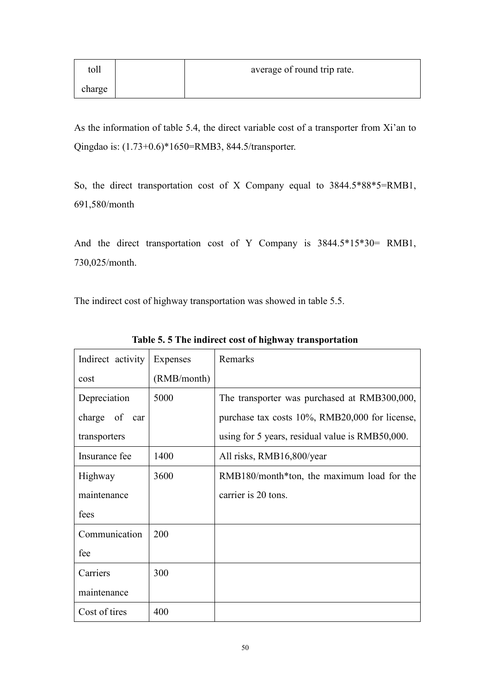| toll   | average of round trip rate. |
|--------|-----------------------------|
| charge |                             |

As the information of table 5.4, the direct variable cost of a transporter from Xi'an to Qingdao is: (1.73+0.6)\*1650=RMB3, 844.5/transporter.

So, the direct transportation cost of X Company equal to 3844.5\*88\*5=RMB1, 691,580/month

And the direct transportation cost of Y Company is 3844.5\*15\*30= RMB1, 730,025/month.

The indirect cost of highway transportation was showed in table 5.5.

| Indirect activity | Expenses    | Remarks                                         |
|-------------------|-------------|-------------------------------------------------|
| cost              | (RMB/month) |                                                 |
| Depreciation      | 5000        | The transporter was purchased at RMB300,000,    |
| charge of car     |             | purchase tax costs 10%, RMB20,000 for license,  |
| transporters      |             | using for 5 years, residual value is RMB50,000. |
| Insurance fee     | 1400        | All risks, RMB16,800/year                       |
| Highway           | 3600        | RMB180/month*ton, the maximum load for the      |
| maintenance       |             | carrier is 20 tons.                             |
| fees              |             |                                                 |
| Communication     | 200         |                                                 |
| fee               |             |                                                 |
| Carriers          | 300         |                                                 |
| maintenance       |             |                                                 |
| Cost of tires     | 400         |                                                 |

Table 5. 5 The indirect cost of highway transportation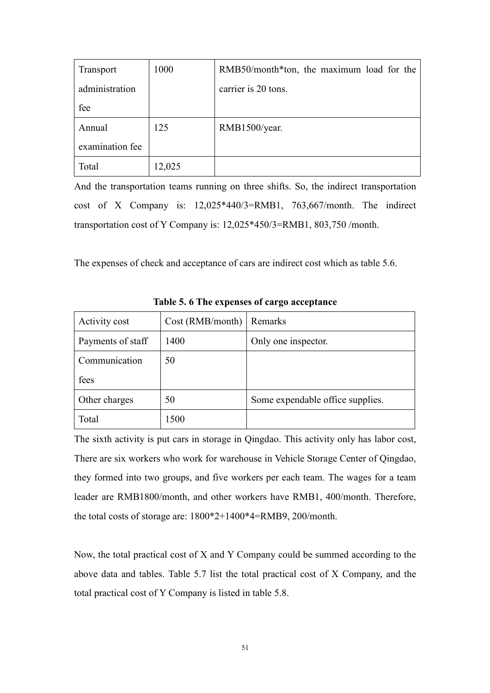| Transport       | 1000   | RMB50/month*ton, the maximum load for the |
|-----------------|--------|-------------------------------------------|
| administration  |        | carrier is 20 tons.                       |
| fee             |        |                                           |
| Annual          | 125    | RMB1500/year.                             |
| examination fee |        |                                           |
| Total           | 12,025 |                                           |

And the transportation teams running on three shifts. So, the indirect transportation cost of X Company is: 12,025\*440/3=RMB1, 763,667/month. The indirect transportation cost of Y Company is: 12,025\*450/3=RMB1, 803,750 /month.

The expenses of check and acceptance of cars are indirect cost which as table 5.6.

| Activity cost     | Cost (RMB/month) | Remarks                          |
|-------------------|------------------|----------------------------------|
| Payments of staff | 1400             | Only one inspector.              |
| Communication     | 50               |                                  |
| fees              |                  |                                  |
| Other charges     | 50               | Some expendable office supplies. |
| Total             | 1500             |                                  |

Table 5. 6 The expenses of cargo acceptance

The sixth activity is put cars in storage in Qingdao. This activity only has labor cost, There are six workers who work for warehouse in Vehicle Storage Center of Qingdao, they formed into two groups, and five workers per each team. The wages for a team leader are RMB1800/month, and other workers have RMB1, 400/month. Therefore, the total costs of storage are: 1800\*2+1400\*4=RMB9, 200/month.

Now, the total practical cost of X and Y Company could be summed according to the above data and tables. Table 5.7 list the total practical cost of X Company, and the total practical cost of Y Company is listed in table 5.8.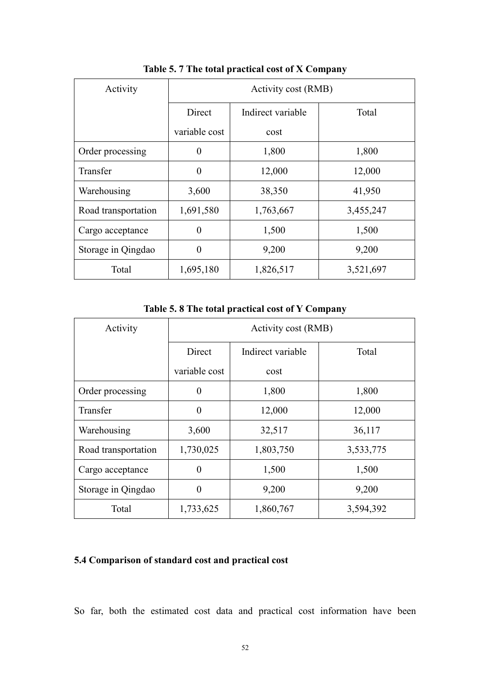| Activity            | Activity cost (RMB) |                   |           |
|---------------------|---------------------|-------------------|-----------|
|                     | Direct              | Indirect variable | Total     |
|                     | variable cost       | cost              |           |
| Order processing    | $\theta$            | 1,800             | 1,800     |
| Transfer            | $\theta$            | 12,000            | 12,000    |
| Warehousing         | 3,600               | 38,350            | 41,950    |
| Road transportation | 1,691,580           | 1,763,667         | 3,455,247 |
| Cargo acceptance    | $\theta$            | 1,500             | 1,500     |
| Storage in Qingdao  | $\theta$            | 9,200             | 9,200     |
| Total               | 1,695,180           | 1,826,517         | 3,521,697 |

Table 5. 7 The total practical cost of X Company

Table 5. 8 The total practical cost of Y Company

| Activity            | Activity cost (RMB) |                   |           |
|---------------------|---------------------|-------------------|-----------|
|                     | Direct              | Indirect variable | Total     |
|                     | variable cost       | cost              |           |
| Order processing    | $\theta$            | 1,800             | 1,800     |
| Transfer            | $\theta$            | 12,000            | 12,000    |
| Warehousing         | 3,600               | 32,517            | 36,117    |
| Road transportation | 1,730,025           | 1,803,750         | 3,533,775 |
| Cargo acceptance    | $\theta$            | 1,500             | 1,500     |
| Storage in Qingdao  | $\theta$            | 9,200             | 9,200     |
| Total               | 1,733,625           | 1,860,767         | 3,594,392 |

# 5.4 Comparison of standard cost and practical cost

So far, both the estimated cost data and practical cost information have been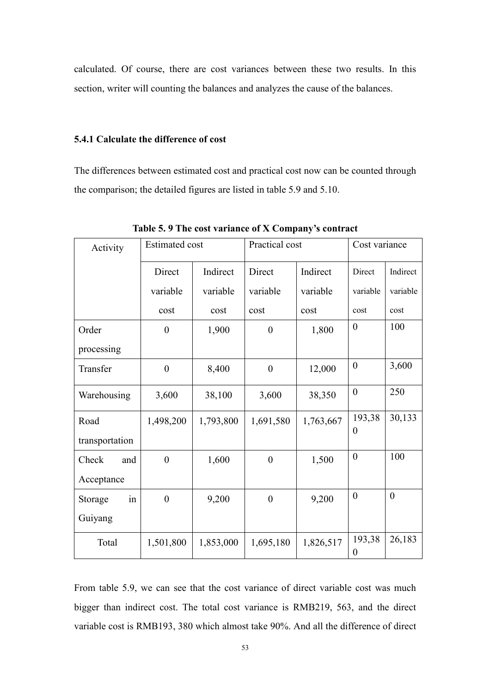calculated. Of course, there are cost variances between these two results. In this section, writer will counting the balances and analyzes the cause of the balances.

### 5.4.1 Calculate the difference of cost

The differences between estimated cost and practical cost now can be counted through the comparison; the detailed figures are listed in table 5.9 and 5.10.

| Activity       | <b>Estimated cost</b> |           | Practical cost   |           | Cost variance      |          |
|----------------|-----------------------|-----------|------------------|-----------|--------------------|----------|
|                | Direct                | Indirect  | Direct           | Indirect  | Direct             | Indirect |
|                | variable              | variable  | variable         | variable  | variable           | variable |
|                | cost                  | cost      | cost             | cost      | cost               | cost     |
| Order          | $\boldsymbol{0}$      | 1,900     | $\boldsymbol{0}$ | 1,800     | $\theta$           | 100      |
| processing     |                       |           |                  |           |                    |          |
| Transfer       | $\boldsymbol{0}$      | 8,400     | $\boldsymbol{0}$ | 12,000    | $\boldsymbol{0}$   | 3,600    |
| Warehousing    | 3,600                 | 38,100    | 3,600            | 38,350    | $\boldsymbol{0}$   | 250      |
| Road           | 1,498,200             | 1,793,800 | 1,691,580        | 1,763,667 | 193,38<br>$\theta$ | 30,133   |
| transportation |                       |           |                  |           |                    |          |
| Check<br>and   | $\boldsymbol{0}$      | 1,600     | $\boldsymbol{0}$ | 1,500     | $\overline{0}$     | 100      |
| Acceptance     |                       |           |                  |           |                    |          |
| Storage<br>in  | $\overline{0}$        | 9,200     | $\overline{0}$   | 9,200     | $\overline{0}$     | $\theta$ |
| Guiyang        |                       |           |                  |           |                    |          |
| Total          | 1,501,800             | 1,853,000 | 1,695,180        | 1,826,517 | 193,38<br>$\theta$ | 26,183   |

Table 5. 9 The cost variance of X Company's contract

From table 5.9, we can see that the cost variance of direct variable cost was much bigger than indirect cost. The total cost variance is RMB219, 563, and the direct variable cost is RMB193, 380 which almost take 90%. And all the difference of direct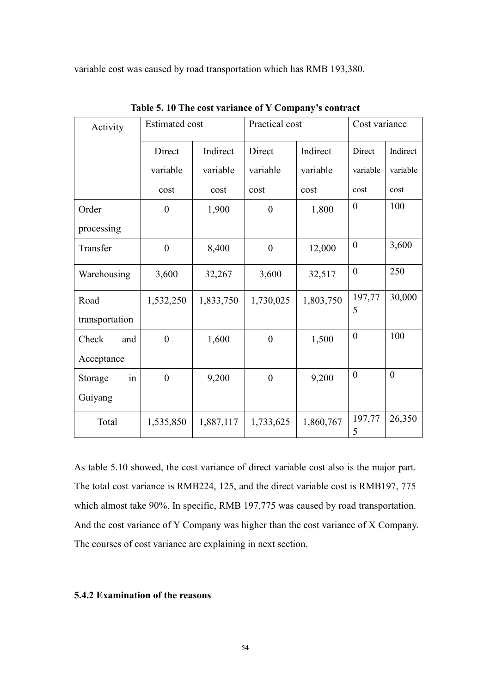variable cost was caused by road transportation which has RMB 193,380.

| Activity       | <b>Estimated cost</b> |           | Practical cost   |           | Cost variance    |                  |
|----------------|-----------------------|-----------|------------------|-----------|------------------|------------------|
|                | Direct                | Indirect  | Direct           | Indirect  | Direct           | Indirect         |
|                | variable              | variable  | variable         | variable  | variable         | variable         |
|                | cost                  | cost      | cost             | cost      | cost             | cost             |
| Order          | $\boldsymbol{0}$      | 1,900     | $\boldsymbol{0}$ | 1,800     | $\overline{0}$   | 100              |
| processing     |                       |           |                  |           |                  |                  |
| Transfer       | $\boldsymbol{0}$      | 8,400     | $\boldsymbol{0}$ | 12,000    | $\boldsymbol{0}$ | 3,600            |
| Warehousing    | 3,600                 | 32,267    | 3,600            | 32,517    | $\boldsymbol{0}$ | 250              |
| Road           | 1,532,250             | 1,833,750 | 1,730,025        | 1,803,750 | 197,77<br>5      | 30,000           |
| transportation |                       |           |                  |           |                  |                  |
| Check<br>and   | $\boldsymbol{0}$      | 1,600     | $\boldsymbol{0}$ | 1,500     | $\boldsymbol{0}$ | 100              |
| Acceptance     |                       |           |                  |           |                  |                  |
| Storage<br>in  | $\boldsymbol{0}$      | 9,200     | $\boldsymbol{0}$ | 9,200     | $\overline{0}$   | $\boldsymbol{0}$ |
| Guiyang        |                       |           |                  |           |                  |                  |
| Total          | 1,535,850             | 1,887,117 | 1,733,625        | 1,860,767 | 197,77<br>5      | 26,350           |

Table 5. 10 The cost variance of Y Company's contract

As table 5.10 showed, the cost variance of direct variable cost also is the major part. The total cost variance is RMB224, 125, and the direct variable cost is RMB197, 775 which almost take 90%. In specific, RMB 197,775 was caused by road transportation. And the cost variance of Y Company was higher than the cost variance of X Company. The courses of cost variance are explaining in next section.

# 5.4.2 Examination of the reasons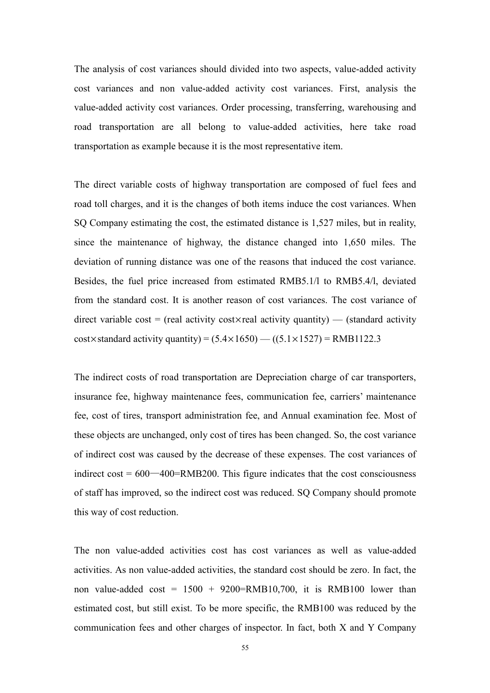The analysis of cost variances should divided into two aspects, value-added activity cost variances and non value-added activity cost variances. First, analysis the value-added activity cost variances. Order processing, transferring, warehousing and road transportation are all belong to value-added activities, here take road transportation as example because it is the most representative item.

The direct variable costs of highway transportation are composed of fuel fees and road toll charges, and it is the changes of both items induce the cost variances. When SQ Company estimating the cost, the estimated distance is 1,527 miles, but in reality, since the maintenance of highway, the distance changed into 1,650 miles. The deviation of running distance was one of the reasons that induced the cost variance. Besides, the fuel price increased from estimated RMB5.1/l to RMB5.4/l, deviated from the standard cost. It is another reason of cost variances. The cost variance of direct variable cost = (real activity cost×real activity quantity) — (standard activity  $cost \times standard$  activity quantity) =  $(5.4 \times 1650)$  —  $((5.1 \times 1527)$  = RMB1122.3

The indirect costs of road transportation are Depreciation charge of car transporters, insurance fee, highway maintenance fees, communication fee, carriers' maintenance fee, cost of tires, transport administration fee, and Annual examination fee. Most of these objects are unchanged, only cost of tires has been changed. So, the cost variance of indirect cost was caused by the decrease of these expenses. The cost variances of indirect  $\cos t = 600 - 400 = \text{RMB200}$ . This figure indicates that the cost consciousness of staff has improved, so the indirect cost was reduced. SQ Company should promote this way of cost reduction.

The non value-added activities cost has cost variances as well as value-added activities. As non value-added activities, the standard cost should be zero. In fact, the non value-added cost =  $1500 + 9200 = \text{RMB10,700}$ , it is RMB100 lower than estimated cost, but still exist. To be more specific, the RMB100 was reduced by the communication fees and other charges of inspector. In fact, both X and Y Company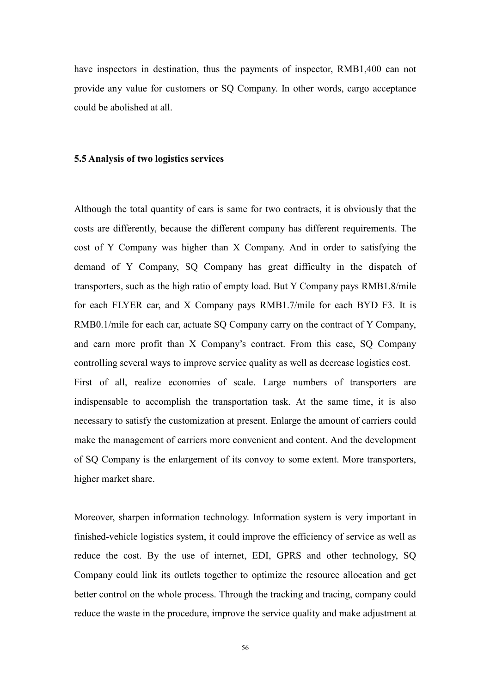have inspectors in destination, thus the payments of inspector, RMB1,400 can not provide any value for customers or SQ Company. In other words, cargo acceptance could be abolished at all.

## 5.5 Analysis of two logistics services

Although the total quantity of cars is same for two contracts, it is obviously that the costs are differently, because the different company has different requirements. The cost of Y Company was higher than X Company. And in order to satisfying the demand of Y Company, SQ Company has great difficulty in the dispatch of transporters, such as the high ratio of empty load. But Y Company pays RMB1.8/mile for each FLYER car, and X Company pays RMB1.7/mile for each BYD F3. It is RMB0.1/mile for each car, actuate SQ Company carry on the contract of Y Company, and earn more profit than X Company's contract. From this case, SQ Company controlling several ways to improve service quality as well as decrease logistics cost. First of all, realize economies of scale. Large numbers of transporters are indispensable to accomplish the transportation task. At the same time, it is also necessary to satisfy the customization at present. Enlarge the amount of carriers could make the management of carriers more convenient and content. And the development of SQ Company is the enlargement of its convoy to some extent. More transporters, higher market share.

Moreover, sharpen information technology. Information system is very important in finished-vehicle logistics system, it could improve the efficiency of service as well as reduce the cost. By the use of internet, EDI, GPRS and other technology, SQ Company could link its outlets together to optimize the resource allocation and get better control on the whole process. Through the tracking and tracing, company could reduce the waste in the procedure, improve the service quality and make adjustment at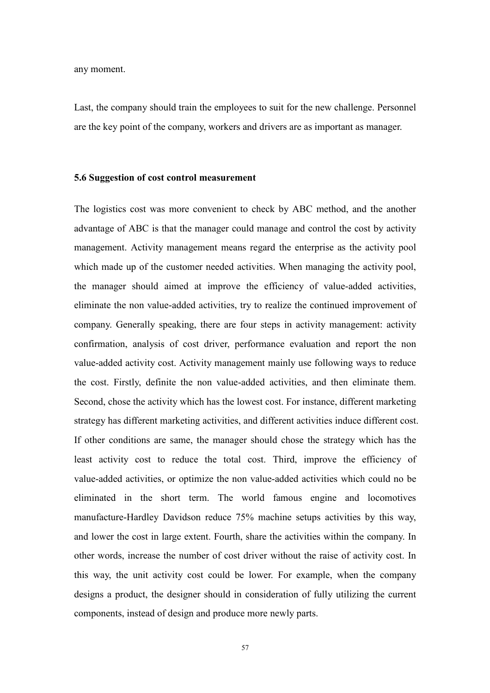any moment.

Last, the company should train the employees to suit for the new challenge. Personnel are the key point of the company, workers and drivers are as important as manager.

#### 5.6 Suggestion of cost control measurement

The logistics cost was more convenient to check by ABC method, and the another advantage of ABC is that the manager could manage and control the cost by activity management. Activity management means regard the enterprise as the activity pool which made up of the customer needed activities. When managing the activity pool, the manager should aimed at improve the efficiency of value-added activities, eliminate the non value-added activities, try to realize the continued improvement of company. Generally speaking, there are four steps in activity management: activity confirmation, analysis of cost driver, performance evaluation and report the non value-added activity cost. Activity management mainly use following ways to reduce the cost. Firstly, definite the non value-added activities, and then eliminate them. Second, chose the activity which has the lowest cost. For instance, different marketing strategy has different marketing activities, and different activities induce different cost. If other conditions are same, the manager should chose the strategy which has the least activity cost to reduce the total cost. Third, improve the efficiency of value-added activities, or optimize the non value-added activities which could no be eliminated in the short term. The world famous engine and locomotives manufacture-Hardley Davidson reduce 75% machine setups activities by this way, and lower the cost in large extent. Fourth, share the activities within the company. In other words, increase the number of cost driver without the raise of activity cost. In this way, the unit activity cost could be lower. For example, when the company designs a product, the designer should in consideration of fully utilizing the current components, instead of design and produce more newly parts.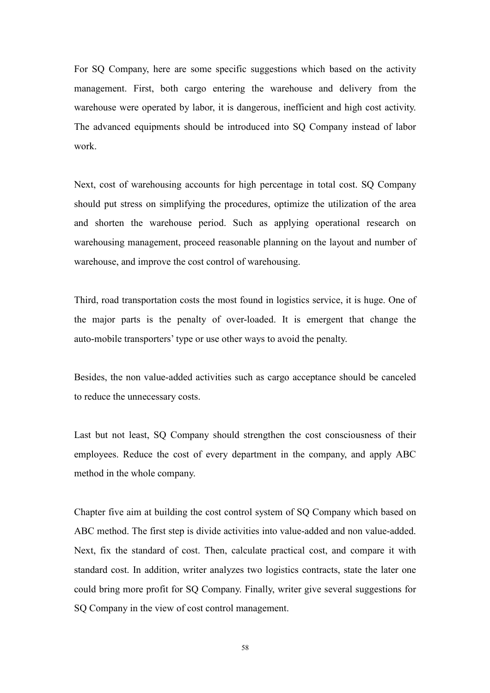For SQ Company, here are some specific suggestions which based on the activity management. First, both cargo entering the warehouse and delivery from the warehouse were operated by labor, it is dangerous, inefficient and high cost activity. The advanced equipments should be introduced into SQ Company instead of labor work.

Next, cost of warehousing accounts for high percentage in total cost. SQ Company should put stress on simplifying the procedures, optimize the utilization of the area and shorten the warehouse period. Such as applying operational research on warehousing management, proceed reasonable planning on the layout and number of warehouse, and improve the cost control of warehousing.

Third, road transportation costs the most found in logistics service, it is huge. One of the major parts is the penalty of over-loaded. It is emergent that change the auto-mobile transporters' type or use other ways to avoid the penalty.

Besides, the non value-added activities such as cargo acceptance should be canceled to reduce the unnecessary costs.

Last but not least, SQ Company should strengthen the cost consciousness of their employees. Reduce the cost of every department in the company, and apply ABC method in the whole company.

Chapter five aim at building the cost control system of SQ Company which based on ABC method. The first step is divide activities into value-added and non value-added. Next, fix the standard of cost. Then, calculate practical cost, and compare it with standard cost. In addition, writer analyzes two logistics contracts, state the later one could bring more profit for SQ Company. Finally, writer give several suggestions for SQ Company in the view of cost control management.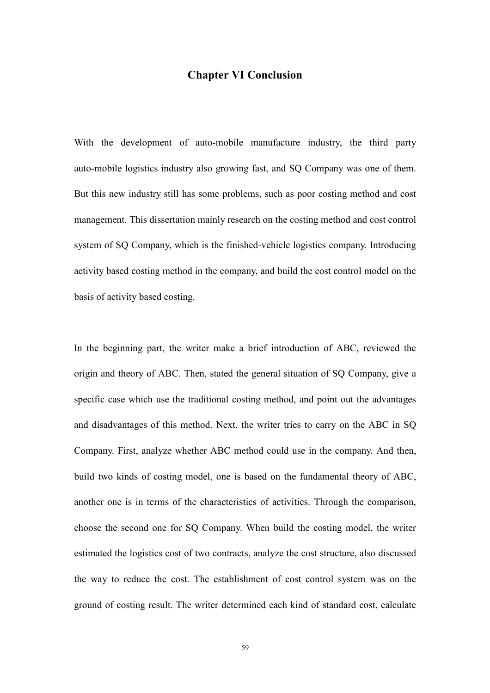# Chapter VI Conclusion

With the development of auto-mobile manufacture industry, the third party auto-mobile logistics industry also growing fast, and SQ Company was one of them. But this new industry still has some problems, such as poor costing method and cost management. This dissertation mainly research on the costing method and cost control system of SQ Company, which is the finished-vehicle logistics company. Introducing activity based costing method in the company, and build the cost control model on the basis of activity based costing.

In the beginning part, the writer make a brief introduction of ABC, reviewed the origin and theory of ABC. Then, stated the general situation of SQ Company, give a specific case which use the traditional costing method, and point out the advantages and disadvantages of this method. Next, the writer tries to carry on the ABC in SQ Company. First, analyze whether ABC method could use in the company. And then, build two kinds of costing model, one is based on the fundamental theory of ABC, another one is in terms of the characteristics of activities. Through the comparison, choose the second one for SQ Company. When build the costing model, the writer estimated the logistics cost of two contracts, analyze the cost structure, also discussed the way to reduce the cost. The establishment of cost control system was on the ground of costing result. The writer determined each kind of standard cost, calculate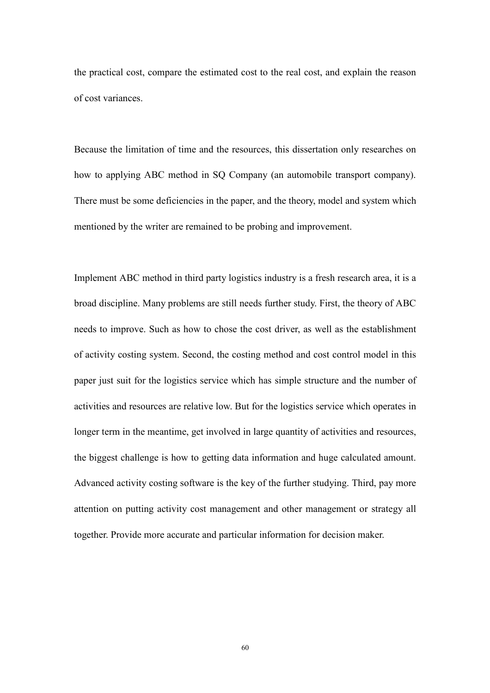the practical cost, compare the estimated cost to the real cost, and explain the reason of cost variances.

Because the limitation of time and the resources, this dissertation only researches on how to applying ABC method in SQ Company (an automobile transport company). There must be some deficiencies in the paper, and the theory, model and system which mentioned by the writer are remained to be probing and improvement.

Implement ABC method in third party logistics industry is a fresh research area, it is a broad discipline. Many problems are still needs further study. First, the theory of ABC needs to improve. Such as how to chose the cost driver, as well as the establishment of activity costing system. Second, the costing method and cost control model in this paper just suit for the logistics service which has simple structure and the number of activities and resources are relative low. But for the logistics service which operates in longer term in the meantime, get involved in large quantity of activities and resources, the biggest challenge is how to getting data information and huge calculated amount. Advanced activity costing software is the key of the further studying. Third, pay more attention on putting activity cost management and other management or strategy all together. Provide more accurate and particular information for decision maker.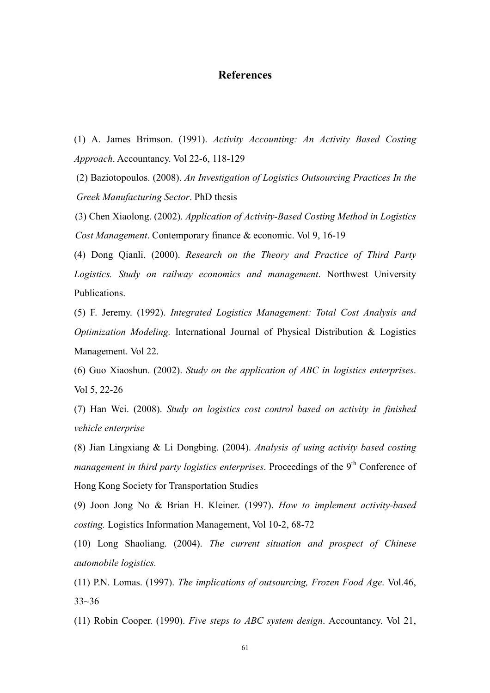# References

(1) A. James Brimson. (1991). Activity Accounting: An Activity Based Costing Approach. Accountancy. Vol 22-6, 118-129

(2) Baziotopoulos. (2008). An Investigation of Logistics Outsourcing Practices In the Greek Manufacturing Sector. PhD thesis

(3) Chen Xiaolong. (2002). Application of Activity-Based Costing Method in Logistics Cost Management. Contemporary finance & economic. Vol 9, 16-19

(4) Dong Qianli. (2000). Research on the Theory and Practice of Third Party Logistics. Study on railway economics and management. Northwest University Publications.

(5) F. Jeremy. (1992). Integrated Logistics Management: Total Cost Analysis and Optimization Modeling. International Journal of Physical Distribution & Logistics Management. Vol 22.

(6) Guo Xiaoshun. (2002). Study on the application of ABC in logistics enterprises. Vol 5, 22-26

(7) Han Wei. (2008). Study on logistics cost control based on activity in finished vehicle enterprise

(8) Jian Lingxiang & Li Dongbing. (2004). Analysis of using activity based costing management in third party logistics enterprises. Proceedings of the  $9<sup>th</sup>$  Conference of Hong Kong Society for Transportation Studies

(9) Joon Jong No & Brian H. Kleiner. (1997). How to implement activity-based costing. Logistics Information Management, Vol 10-2, 68-72

(10) Long Shaoliang. (2004). The current situation and prospect of Chinese automobile logistics.

(11) P.N. Lomas. (1997). The implications of outsourcing, Frozen Food Age. Vol.46, 33~36

(11) Robin Cooper. (1990). Five steps to ABC system design. Accountancy. Vol 21,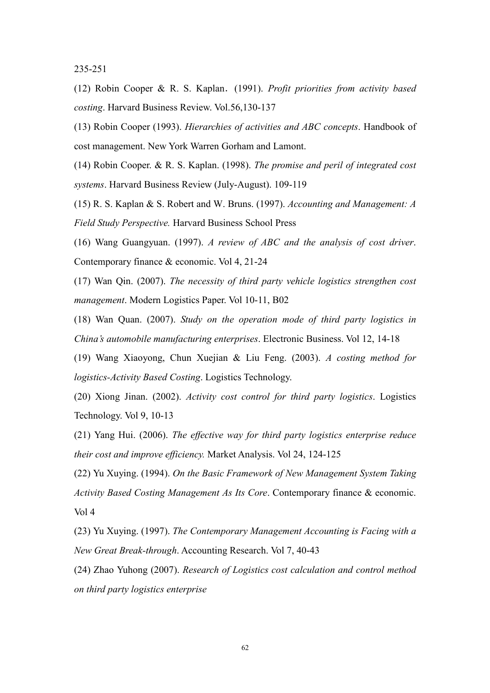235-251

(12) Robin Cooper & R. S. Kaplan.(1991). Profit priorities from activity based costing. Harvard Business Review. Vol.56,130-137

(13) Robin Cooper (1993). Hierarchies of activities and ABC concepts. Handbook of cost management. New York Warren Gorham and Lamont.

(14) Robin Cooper. & R. S. Kaplan. (1998). The promise and peril of integrated cost systems. Harvard Business Review (July-August). 109-119

(15) R. S. Kaplan & S. Robert and W. Bruns. (1997). Accounting and Management: A Field Study Perspective. Harvard Business School Press

(16) Wang Guangyuan. (1997). A review of ABC and the analysis of cost driver. Contemporary finance & economic. Vol 4, 21-24

(17) Wan Qin. (2007). The necessity of third party vehicle logistics strengthen cost management. Modern Logistics Paper. Vol 10-11, B02

(18) Wan Quan. (2007). Study on the operation mode of third party logistics in China's automobile manufacturing enterprises. Electronic Business. Vol 12, 14-18

(19) Wang Xiaoyong, Chun Xuejian & Liu Feng. (2003). A costing method for logistics-Activity Based Costing. Logistics Technology.

(20) Xiong Jinan. (2002). Activity cost control for third party logistics. Logistics Technology. Vol 9, 10-13

(21) Yang Hui. (2006). The effective way for third party logistics enterprise reduce their cost and improve efficiency. Market Analysis. Vol 24, 124-125

(22) Yu Xuying. (1994). On the Basic Framework of New Management System Taking Activity Based Costing Management As Its Core. Contemporary finance & economic. Vol 4

(23) Yu Xuying. (1997). The Contemporary Management Accounting is Facing with a New Great Break-through. Accounting Research. Vol 7, 40-43

(24) Zhao Yuhong (2007). Research of Logistics cost calculation and control method on third party logistics enterprise